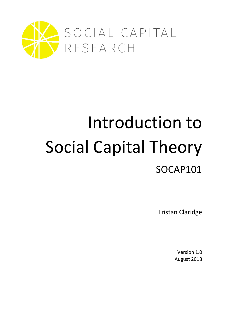

# Introduction to Social Capital Theory SOCAP101

Tristan Claridge

Version 1.0 August 2018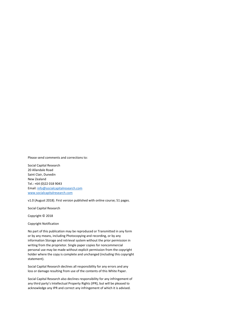Please send comments and corrections to:

Social Capital Research 20 Allandale Road Saint Clair, Dunedin New Zealand Tel.: +64 (0)22 018 9043 Email[: info@socialcapitalresearch.com](mailto:info@socialcapitalresearch.com) [www.socialcapitalresearch.com](http://www.socialcapitalresearch.com/)

v1.0 (August 2018). First version published with online course; 51 pages.

Social Capital Research

Copyright © 2018

Copyright Notification

No part of this publication may be reproduced or Transmitted in any form or by any means, including Photocopying and recording, or by any information Storage and retrieval system without the prior permission in writing from the proprietor. Single paper copies for noncommercial personal use may be made without explicit permission from the copyright holder where the copy is complete and unchanged (including this copyright statement).

Social Capital Research declines all responsibility for any errors and any loss or damage resulting from use of the contents of this White Paper.

Social Capital Research also declines responsibility for any infringement of any third party's Intellectual Property Rights (IPR), but will be pleased to acknowledge any IPR and correct any infringement of which it is advised.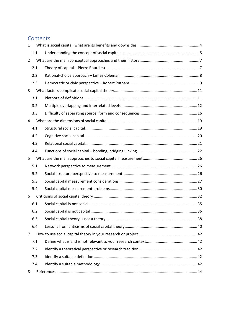# **Contents**

| $\mathbf{1}$   |     |  |
|----------------|-----|--|
|                | 1.1 |  |
| $\overline{2}$ |     |  |
|                | 2.1 |  |
|                | 2.2 |  |
|                | 2.3 |  |
| 3              |     |  |
|                | 3.1 |  |
|                | 3.2 |  |
|                | 3.3 |  |
| 4              |     |  |
|                | 4.1 |  |
|                | 4.2 |  |
|                | 4.3 |  |
|                | 4.4 |  |
| 5              |     |  |
|                | 5.1 |  |
|                | 5.2 |  |
|                | 5.3 |  |
|                | 5.4 |  |
| 6              |     |  |
|                | 6.1 |  |
|                | 6.2 |  |
|                | 6.3 |  |
|                | 6.4 |  |
| $\overline{7}$ |     |  |
|                | 7.1 |  |
|                | 7.2 |  |
|                | 7.3 |  |
|                | 7.4 |  |
| 8              |     |  |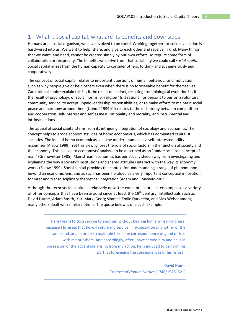# <span id="page-3-0"></span>1 What is social capital, what are its benefits and downsides

Humans are a social organism, we have evolved to be social. Working together for collective action is hard-wired into us. We want to help, share, and give to each other and receive in kind. Many things that we want, and need, cannot be created simply by our own efforts, so require some form of collaboration or reciprocity. The benefits we derive from that sociability we could call *social capital*. Social capital arises from the human capacity to consider others, to think and act generously and cooperatively.

The concept of social capital relates to important questions of human behaviour and motivation, such as why people give or help others even when there is no foreseeable benefit for themselves. Can rational choice explain this? Is it the result of instinct, resulting from biological evolution? Is it the result of psychology, or social norms, or religion? Is it rational for persons to perform voluntary community service, to accept unpaid leadership responsibilities, or to make efforts to maintain social peace and harmony around them (Uphoff 1999)? It relates to the dichotomy between competition and cooperation, self-interest and selflessness, rationality and morality, and instrumental and intrinsic actions.

The appeal of social capital stems from its intriguing integration of sociology and economics. The concept helps to erode economists' idea of homo economicus, which has dominated capitalist societies. The idea of homo economicus sees the modern human as a self-interested utility maximizer (Arrow 1999). Yet this view ignores the role of social factors in the function of society and the economy. This has led to economists' analysis to be described as an "undersocialized concept of man" (Granovetter 1985). Mainstream economics has puristically shied away from investigating and explaining the way a society's institutions and shared attitudes interact with the way its economy works (Solow 1999). Social capital provides the context for understanding a range of phenomenon beyond an economic lens, and as such has been heralded as a very important conceptual innovation for inter and transdisciplinary theoretical integration (Adam and Roncevic 2003).

Although the term social capital is relatively new, the concept is not as it encompasses a variety of other concepts that have been around since at least the 19<sup>th</sup> century. Intellectuals such as David Hume, Adam Smith, Karl Marx, Georg Simmel, Émile Durkheim, and Max Weber among many others dealt with similar notions. The quote below is one such example.

Here I learn to do a service to another, without bearing him any real kindness; because I foresee, that he will return my service, in expectation of another of the same kind, and in order to maintain the same correspondence of good offices with me or others. And accordingly, after I have served him and he is in possession of the advantage arising from my action, he is induced to perform his part, as foreseeing the consequences of his refusal.

> David Hume *Treatise of Human Nature* (1740/1978, 521)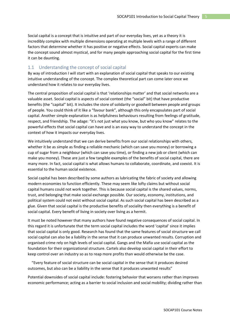Social capital is a concept that is intuitive and part of our everyday lives, yet as a theory it is incredibly complex with multiple dimensions operating at multiple levels with a range of different factors that determine whether it has positive or negative effects. Social capital experts can make the concept sound almost mystical, and for many people approaching social capital for the first time it can be daunting.

## <span id="page-4-0"></span>1.1 Understanding the concept of social capital

By way of introduction I will start with an explanation of social capital that speaks to our existing intuitive understanding of the concept. The complex theoretical part can come later once we understand how it relates to our everyday lives.

The central proposition of social capital is that 'relationships matter' and that social networks are a valuable asset. Social capital is aspects of social context (the "social" bit) that have productive benefits (the "capital" bit). It includes the store of solidarity or goodwill between people and groups of people. You could think of it like a "favour bank", although this only encapsulates part of social capital. Another simple explanation is as helpfulness behaviours resulting from feelings of gratitude, respect, and friendship. The adage: "it's not just what you know, but who you know" relates to the powerful effects that social capital can have and is an easy way to understand the concept in the context of how it impacts our everyday lives.

We intuitively understand that we can derive benefits from our social relationships with others, whether it be as simple as finding a reliable mechanic (which can save you money) or borrowing a cup of sugar from a neighbour (which can save you time), or finding a new job or client (which can make you money). These are just a few tangible examples of the benefits of social capital, there are many more. In fact, social capital is what allows humans to collaborate, coordinate, and coexist. It is essential to the human social existence.

Social capital has been described by some authors as lubricating the fabric of society and allowing modern economies to function efficiently. These may seem like lofty claims but without social capital humans could not work together. This is because social capital is the shared values, norms, trust, and belonging that make social exchange possible. Our society, economy, institutions, and political system could not exist without social capital. As such social capital has been described as a glue. Given that social capital is the productive benefits of sociality then everything is a benefit of social capital. Every benefit of living in society over living as a hermit.

It must be noted however that many authors have found negative consequences of social capital. In this regard it is unfortunate that the term social capital includes the word 'capital' since it implies that social capital is only good. Research has found that the same features of social structure we call social capital can also be a liability in the sense that it can produce unwanted results. Corruption and organised crime rely on high levels of social capital. Gangs and the Mafia use social capital as the foundation for their organizational structure. Cartels also develop social capital in their effort to keep control over an industry so as to reap more profits than would otherwise be the case.

 "Every feature of social structure can be social capital in the sense that it produces desired outcomes, but also can be a liability in the sense that it produces unwanted results"

Potential downsides of social capital include: fostering behavior that worsens rather than improves economic performance; acting as a barrier to social inclusion and social mobility; dividing rather than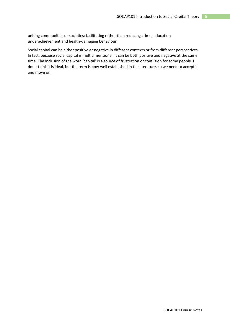uniting communities or societies; facilitating rather than reducing crime, education underachievement and health-damaging behaviour.

Social capital can be either positive or negative in different contexts or from different perspectives. In fact, because social capital is multidimensional, it can be both positive and negative at the same time. The inclusion of the word 'capital' is a source of frustration or confusion for some people. I don't think it is ideal, but the term is now well established in the literature, so we need to accept it and move on.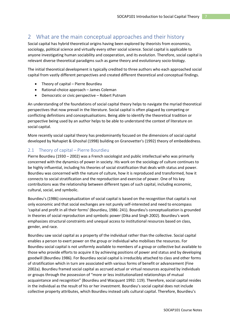## <span id="page-6-0"></span>2 What are the main conceptual approaches and their history

Social capital has hybrid theoretical origins having been explored by theorists from economics, sociology, political science and virtually every other social science. Social capital is applicable to anyone investigating human sociability and cooperation, and its evolution. Therefore, social capital is relevant diverse theoretical paradigms such as game theory and evolutionary socio-biology.

The initial theoretical development is typically credited to three authors who each approached social capital from vastly different perspectives and created different theoretical and conceptual findings.

- Theory of capital Pierre Bourdieu
- Rational-choice approach James Coleman
- Democratic or civic perspective Robert Putnam

An understanding of the foundations of social capital theory helps to navigate the myriad theoretical perspectives that now prevail in the literature. Social capital is often plagued by competing or conflicting definitions and conceptualisations. Being able to identify the theoretical tradition or perspective being used by an author helps to be able to understand the context of literature on social capital.

More recently social capital theory has predominantly focused on the dimensions of social capital developed by Nahapiet & Ghoshal (1998) building on Granovetter's (1992) theory of embeddedness.

## <span id="page-6-1"></span>2.1 Theory of capital – Pierre Bourdieu

Pierre Bourdieu (1930 – 2002) was a French sociologist and public intellectual who was primarily concerned with the dynamics of power in society. His work on the sociology of culture continues to be highly influential, including his theories of social stratification that deals with status and power. Bourdieu was concerned with the nature of culture, how it is reproduced and transformed, how it connects to social stratification and the reproduction and exercise of power. One of his key contributions was the relationship between different types of such capital, including economic, cultural, social, and symbolic.

Bourdieu's (1986) conceptualization of social capital is based on the recognition that capital is not only economic and that social exchanges are not purely self-interested and need to encompass 'capital and profit in all their forms' (Bourdieu, 1986: 241). Bourdieu's conceptualization is grounded in theories of social reproduction and symbolic power (Dika and Singh 2002). Bourdieu's work emphasizes structural constraints and unequal access to institutional resources based on class, gender, and race.

Bourdieu saw social capital as a property of the individual rather than the collective. Social capital enables a person to exert power on the group or individual who mobilises the resources. For Bourdieu social capital is not uniformly available to members of a group or collective but available to those who provide efforts to acquire it by achieving positions of power and status and by developing goodwill (Bourdieu 1986). For Bourdieu social capital is irreducibly attached to class and other forms of stratification which in turn are associated with various forms of benefit or advancement (Fine 2002a). Bourdieu framed social capital as accrued actual or virtual resources acquired by individuals or groups through the possession of "more or less institutionalized relationships of mutual acquaintance and recognition" (Bourdieu and Wacquant 1992: 119). Therefore, social capital resides in the individual as the result of his or her investment. Bourdieu's social capital does not include collective property attributes, which Bourdieu instead calls cultural capital. Therefore, Bourdieu's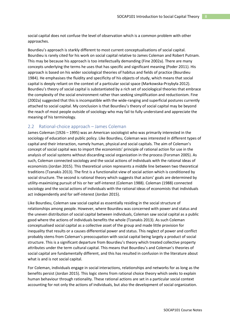social capital does not confuse the level of observation which is a common problem with other approaches.

Bourdieu's approach is starkly different to most current conceptualisations of social capital. Bourdieu is rarely cited for his work on social capital relative to James Coleman and Robert Putnam. This may be because his approach is too intellectually demanding (Fine 2002a). There are many concepts underlying the terms he uses that has specific and significant meaning (Poder 2011). His approach is based on his wider sociological theories of habitus and fields of practice (Bourdieu 1984). He emphasises the fluidity and specificity of his objects of study, which means that social capital is deeply reliant on the context of a particular social space (Markowska-Przybyła 2012). Bourdieu's theory of social capital is substantiated by a rich set of sociological theories that embrace the complexity of the social environment rather than seeking simplification and reductionism. Fine (2002a) suggested that this is incompatible with the wide-ranging and superficial postures currently attached to social capital. My conclusion is that Bourdieu's theory of social capital may be beyond the reach of most people outside of sociology who may fail to fully understand and appreciate the meaning of his terminology.

## <span id="page-7-0"></span>2.2 Rational-choice approach – James Coleman

James Coleman (1926 – 1995) was an American sociologist who was primarily interested in the sociology of education and public policy. Like Bourdieu, Coleman was interested in different types of capital and their interaction, namely human, physical and social capitals. The aim of Coleman's concept of social capital was to import the economists' principle of rational action for use in the analysis of social systems without discarding social organization in the process (Forsman 2005). As such, Coleman connected sociology and the social actions of individuals with the rational ideas of economists (Jordan 2015). This theoretical union represents a middle line between two theoretical traditions (Tzanakis 2013). The first is a functionalist view of social action which is conditioned by social structure. The second is rational theory which suggests that actors' goals are determined by utility-maximizing pursuit of his or her self-interest (Coleman 1988). Coleman (1988) connected sociology and the social actions of individuals with the rational ideas of economists that individuals act independently and for self-interest (Jordan 2015).

Like Bourdieu, Coleman saw social capital as essentially residing in the social structure of relationships among people. However, where Bourdieu was concerned with power and status and the uneven distribution of social capital between individuals, Coleman saw social capital as a public good where the actions of individuals benefits the whole (Tzanakis 2013). As such Coleman conceptualised social capital as a collective asset of the group and made little provision for inequality that results or a causes differential power and status. This neglect of power and conflict probably stems from Coleman's preoccupation with social capital being largely a product of social structure. This is a significant departure from Bourdieu's theory which treated collective property attributes under the term cultural capital. This means that Bourdieu's and Coleman's theories of social capital are fundamentally different, and this has resulted in confusion in the literature about what is and is not social capital.

For Coleman, individuals engage in social interactions, relationships and networks for as long as the benefits persist (Jordan 2015). This logic stems from rational choice theory which seeks to explain human behaviour through rationality. These rational actions are set in a particular social context accounting for not only the actions of individuals, but also the development of social organization.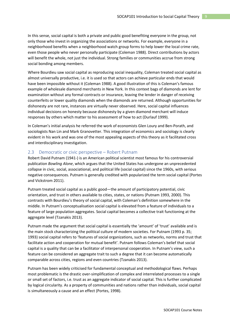In this sense, social capital is both a private and public good benefiting everyone in the group, not only those who invest in organizing the associations or networks. For example, everyone in a neighborhood benefits when a neighborhood watch group forms to help lower the local crime rate, even those people who never personally participate (Coleman 1988). Direct contributions by actors will benefit the whole, not just the individual. Strong families or communities accrue from strong social bonding among members.

Where Bourdieu saw social capital as reproducing social inequality, Coleman treated social capital as almost universally productive, i.e. it is used so that actors can achieve particular ends that would have been impossible without it (Coleman 1988). A good illustration of this is Coleman's famous example of wholesale diamond merchants in New York. In this context bags of diamonds are lent for examination without any formal contracts or insurance, leaving the lender in danger of receiving counterfeits or lower quality diamonds when the diamonds are returned. Although opportunities for dishonesty are not rare, instances are virtually never observed. Here, social capital influences individual decisions on honesty because dishonesty by a given diamond merchant will induce responses by others which matter to his assessment of how to act (Durlauf 1999).

In Coleman's initial analysis he referred the work of economists Glen Loury and Ben-Porath, and sociologists Nan Lin and Mark Granovetter. This integration of economics and sociology is clearly evident in his work and was one of the most appealing aspects of this theory as it facilitated cross and interdisciplinary investigation.

#### <span id="page-8-0"></span>2.3 Democratic or civic perspective – Robert Putnam

Robert David Putnam (1941-) is an American political scientist most famous for his controversial publication *Bowling Alone*, which argues that the United States has undergone an unprecedented collapse in civic, social, associational, and political life (social capital) since the 1960s, with serious negative consequences. Putnam is generally credited with popularized the term social capital (Portes and Vickstrom 2011).

Putnam treated social capital as a public good—the amount of participatory potential, civic orientation, and trust in others available to cities, states, or nations (Putnam 1993, 2000). This contrasts with Bourdieu's theory of social capital, with Coleman's definition somewhere in the middle. In Putnam's conceptualisation social capital is elevated from a feature of individuals to a feature of large population aggregates. Social capital becomes a collective trait functioning at the aggregate level (Tzanakis 2013).

Putnam made the argument that social capital is essentially the 'amount' of 'trust' available and is the main stock characterizing the political culture of modern societies. For Putnam (1993 p. 35; 1993) social capital refers to 'features of social organizations, such as networks, norms and trust that facilitate action and cooperation for mutual benefit'. Putnam follows Coleman's belief that social capital is a quality that can be a facilitator of interpersonal cooperation. In Putnam's view, such a feature can be considered an aggregate trait to such a degree that it can become automatically comparable across cities, regions and even countries (Tzanakis 2013).

Putnam has been widely criticised for fundamental conceptual and methodological flaws. Perhaps most problematic is the drastic over-simplification of complex and interrelated processes to a single or small set of factors, i.e. trust as an aggregate indicator of social capital. This is further complicated by logical circularity. As a property of communities and nations rather than individuals, social capital is simultaneously a cause and an effect (Portes, 1998).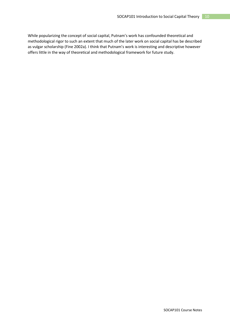While popularizing the concept of social capital, Putnam's work has confounded theoretical and methodological rigor to such an extent that much of the later work on social capital has be described as vulgar scholarship (Fine 2002a). I think that Putnam's work is interesting and descriptive however offers little in the way of theoretical and methodological framework for future study.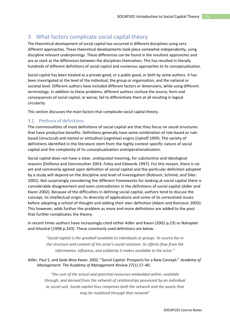# <span id="page-10-0"></span>3 What factors complicate social capital theory

The theoretical development of social capital has occurred in different disciplines using very different approaches. These theoretical developments took place somewhat independently, using discipline relevant underpinnings. These differences can be found in the resultant approaches and are as stark as the differences between the disciplines themselves. This has resulted in literally hundreds of different definitions of social capital and numerous approaches to its conceptualisation.

Social capital has been treated as a private good, or a public good, or both by some authors. It has been investigated at the level of the individual, the group or organisation, and the national or societal level. Different authors have included different factors or dimensions, while using different terminology. In addition to these problems, different authors confuse the source, form and consequences of social capital, or worse, fail to differentiate them at all resulting in logical circularity.

This section discusses the main factors that complicate social capital theory.

## <span id="page-10-1"></span>3.1 Plethora of definitions

The commonalities of most definitions of social capital are that they focus on social structures that have productive benefits. Definitions generally have some combination of role-based or rulebased (structural) and mental or attitudinal (cognitive) origins (Uphoff 1999). The variety of definitions identified in the literature stem from the highly context specific nature of social capital and the complexity of its conceptualization andoperationalization.

Social capital does not have a clear, undisputed meaning, for substantive and ideological reasons (Dolfsma and Dannreuther 2003; Foley and Edwards 1997). For this reason, there is no set and commonly agreed upon definition of social capital and the particular definition adopted by a study will depend on the discipline and level of investigation (Robison, Schmid, and Siles 2002). Not surprisingly considering the different frameworks for looking at social capital there is considerable disagreement and even contradiction in the definitions of social capital (Adler and Kwon 2002). Because of the difficulties in defining social capital, authors tend to discuss the concept, its intellectual origin, its diversity of applications and some of its unresolved issues before adopting a school of thought and adding their own definition (Adam and Roncevic 2003). This however, adds further the problem as more and more definitions are added to the pool that further complicates the theory.

In recent times authors have increasingly cited either Adler and Kwon (2002 p.23) or Nahapiet and Ghoshal (1998 p.243). These commonly used definitions are below.

> *"Social capital is the goodwill available to individuals or groups. Its source lies in the structure and content of the actor's social relations. Its effects flow from the information, influence, and solidarity it makes available to the actor."*

Adler, Paul S. and Seok-Woo Kwon. 2002. "Social Capital: Prospects for a New Concept." *Academy of Management. The Academy of Management Review* 27(1):17–40.

*"the sum of the actual and potential resources embedded within, available through, and derived from the network of relationships possessed by an individual or social unit. Social capital thus comprises both the network and the assets that may be mobilized through that network"*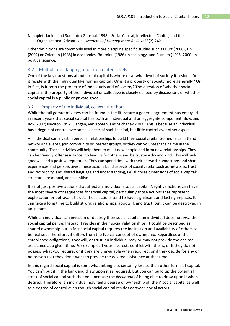Nahapiet, Janine and Sumantra Ghoshal. 1998. "Social Capital, Intellectual Capital, and the Organizational Advantage." *Academy of Management Review* 23(2):242.

Other definitions are commonly used in more discipline specific studies such as Burt (2000), Lin (2002) or Coleman (1988) in economics; Bourdieu (1986) in sociology, and Putnam (1995, 2000) in political science.

### <span id="page-11-0"></span>3.2 Multiple overlapping and interrelated levels

One of the key questions about social capital is where or at what level of society it resides. Does it reside with the individual like human capital? Or is it a property of society more generally? Or in fact, is it both the property of individuals and of society? The question of whether social capital is the property of the individual or collective is closely echoed by discussions of whether social capital is a public or private good.

#### 3.2.1 Property of the individual, collective, or both

While the full gamut of views can be found in the literature a general agreement has emerged in recent years that social capital has both an individual and an aggregate component (Buys and Bow 2002; Newton 1997; Slangen, van Kooten, and Suchanek 2003). This is because an individual has a degree of control over some aspects of social capital, but little control over other aspects.

An individual can invest in personal relationships to build their social capital. Someone can attend networking events, join community or interest groups, or they can volunteer their time in the community. These activities will help them to meet new people and form new relationships. They can be friendly, offer assistance, do favours for others, and be trustworthy and kind. This will build goodwill and a positive reputation. They can spend time with their network connections and share experiences and perspectives. These actions build aspects of social capital such as networks, trust and reciprocity, and shared language and understanding, i.e. all three dimensions of social capital: structural, relational, and cognitive.

It's not just positive actions that affect an individual's social capital. Negative actions can have the most severe consequences for social capital, particularly those actions that represent exploitation or betrayal of trust. These actions tend to have significant and lasting impacts. It can take a long time to build strong relationships, goodwill, and trust, but it can be destroyed in an instant.

While an individual can invest in or destroy their social capital, an individual does not *own* their social capital per se. Instead it resides in their social relationships. It could be described as shared ownership but in fact social capital requires the inclination and availability of others to be realised. Therefore, it differs from the typical concept of ownership. Regardless of the established obligations, goodwill, or trust, an individual may or may not provide the desired assistance at a given time. For example, if your interests conflict with theirs, or if they do not possess what you require, or if they are unavailable when required, or if they decide for any or no reason that they don't want to provide the desired assistance at that time.

In this regard social capital is somewhat intangible, certainly less so than other forms of capital. You can't put it in the bank and draw upon it as required. But you can build up the potential stock of social capital such that you increase the *likelihood* of being able to draw upon it when desired. Therefore, an individual may feel a degree of ownership of 'their' social capital as well as a degree of control even though social capital resides *between* social actors.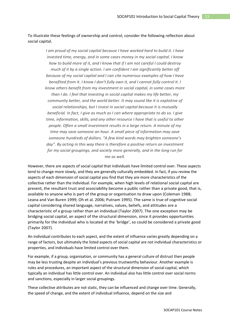To illustrate these feelings of ownership and control, consider the following reflection about social capital.

> *I am proud of my social capital because I have worked hard to build it. I have invested time, energy, and in some cases money in my social capital. I know how to build more of it, and I know that if I am not careful I could destroy much of it by a single action. I am confident I am significantly better off because of my social capital and I can cite numerous examples of how I have benefited from it. I know I don't fully own it, and I cannot fully control it. I know others benefit from my investment in social capital, in some cases more than I do. I feel that investing in social capital makes my life better, my community better, and the world better. It may sound like it is exploitive of social relationships, but I invest in social capital because it is mutually beneficial. In fact, I give as much as I can where appropriate to do so. I give time, information, skills, and any other resource I have that is useful to other people. Often a small investment results in a large return. A minute of my time may save someone an hour. A small piece of information may save someone hundreds of dollars. "A few kind words may brighten someone's*  day". By acting in this way there is therefore a positive return on investment *for my social groupings, and society more generally, and in the long run for me as well.*

However, there are aspects of social capital that individuals have limited control over. These aspects tend to change more slowly, and they are generally culturally embedded. In fact, if you review the aspects of each dimension of social capital you find that they are more characteristics of the collective rather than the individual. For example, when high levels of relational social capital are present, the resultant trust and associability become a public rather than a private good, that is, available to anyone who is part of the group or organisation to draw upon (Coleman 1988; Leana and Van Buren 1999; Oh et al. 2006; Putnam 1995). The same is true of cognitive social capital considering shared language, narratives, values, beliefs, and attitudes are a characteristic of a group rather than an individual (Taylor 2007). The one exception may be bridging social capital, an aspect of the structural dimension, since it provides opportunities primarily for the individual who is located at the 'bridge', so could be considered a private good (Taylor 2007).

An individual contributes to each aspect, and the extent of influence varies greatly depending on a range of factors, but ultimately the listed aspects of social capital are not individual characteristics or properties, and individuals have limited control over them.

For example, if a group, organisation, or community has a general culture of distrust then people may be less trusting despite an individual's previous trustworthy behaviour. Another example is rules and procedures, an important aspect of the structural dimension of social capital, which typically an individual has little control over. An individual also has little control over social norms and sanctions, especially in larger social groupings.

These collective attributes are not static, they can be influenced and change over time. Generally, the speed of change, and the extent of individual influence, depend on the size and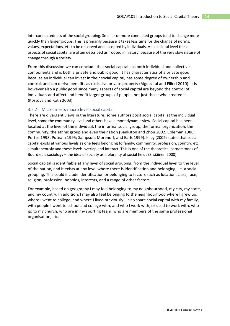interconnectedness of the social grouping. Smaller or more connected groups tend to change more quickly than larger groups. This is primarily because it takes less time for the change of norms, values, expectations, etc to be observed and accepted by individuals. At a societal level these aspects of social capital are often described as 'rooted in history' because of the very slow nature of change through a society.

From this discussion we can conclude that social capital has both individual and collective components and is both a private and public good. It has characteristics of a private good because an individual can invest in their social capital, has some degree of ownership and control, and can derive benefits as exclusive private property (Alguezaui and Filieri 2010). It is however also a public good since many aspects of social capital are beyond the control of individuals and affect and benefit larger groups of people, not just those who created it (Kostova and Roth 2003).

#### 3.2.2 Micro, meso, macro level social capital

There are divergent views in the literature; some authors posit social capital at the individual level, some the community level and others have a more dynamic view. Social capital has been located at the level of the individual, the informal social group, the formal organization, the community, the ethnic group and even the nation (Bankston and Zhou 2002; Coleman 1988; Portes 1998; Putnam 1995; Sampson, Morenoff, and Earls 1999). Kilby (2002) stated that social capital exists at various levels as one feels belonging to family, community, profession, country, etc, simultaneously and these levels overlap and interact. This is one of the theoretical cornerstones of Bourdieu's sociology – the idea of society as a plurality of social fields (Siisiäinen 2000).

Social capital is identifiable at any level of social grouping, from the individual level to the level of the nation, and it exists at any level where there is identification and belonging, i.e. a social grouping. This could include identification or belonging to factors such as location, class, race, religion, profession, hobbies, interests, and a range of other factors.

For example, based on geography I may feel belonging to my neighbourhood, my city, my state, and my country. In addition, I may also feel belonging to the neighbourhood where I grew up, where I went to college, and where I lived previously. I also share social capital with my family, with people I went to school and college with, and who I work with, or used to work with, who go to my church, who are in my sporting team, who are members of the same professional organisation, etc.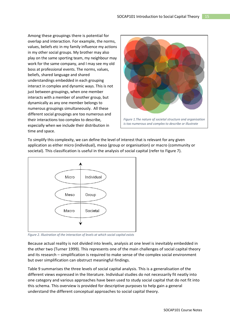Among these groupings there is potential for overlap and interaction. For example, the norms, values, beliefs etc in my family influence my actions in my other social groups. My brother may also play on the same sporting team, my neighbour may work for the same company, and I may see my old boss at professional events. The norms, values, beliefs, shared language and shared understandings embedded in each grouping interact in complex and dynamic ways. This is not just between groupings, when one member interacts with a member of another group, but dynamically as any one member belongs to numerous groupings simultaneously. All these different social groupings are too numerous and their interactions too complex to describe, especially when we include their distribution in time and space.



To simplify this complexity, we can define the level of interest that is relevant for any given application as either micro (individual), meso (group or organisation) or macro (community or societal). This classification is useful in the analysis of social capital (refer to [Figure 7\)](#page-14-0).



<span id="page-14-0"></span>*Figure 2. Illustration of the interaction of levels at which social capital exists*

Because actual reality is not divided into levels, analysis at one level is inevitably embedded in the other two (Turner 1999). This represents one of the main challenges of social capital theory and its research – simplification is required to make sense of the complex social environment but over simplification can obstruct meaningful findings.

[Table 9](#page-15-1) summarises the three levels of social capital analysis. This is a generalisation of the different views expressed in the literature. Individual studies do not necessarily fit neatly into one category and various approaches have been used to study social capital that do not fit into this schema. This overview is provided for descriptive purposes to help gain a general understand the different conceptual approaches to social capital theory.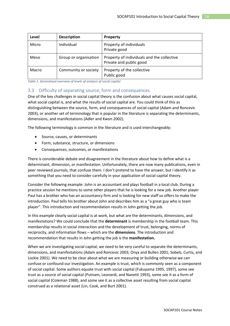| Level | <b>Description</b>    | <b>Property</b>                                                       |
|-------|-----------------------|-----------------------------------------------------------------------|
| Micro | Individual            | Property of individuals<br>Private good                               |
| Meso  | Group or organisation | Property of individuals and the collective<br>Private and public good |
| Macro | Community or society  | Property of the collective<br>Public good                             |

<span id="page-15-1"></span>*Table 1. Generalised overview of levels of analysis of social capital*

## <span id="page-15-0"></span>3.3 Difficulty of separating source, form and consequences

One of the key challenges in social capital theory is the confusion about what causes social capital, what social capital is, and what the results of social capital are. You could think of this as distinguishing between the source, form, and consequences of social capital (Adam and Roncevic 2003), or another set of terminology that is popular in the literature is separating the determinants, dimensions, and manifestations (Adler and Kwon 2002).

The following terminology is common in the literature and is used interchangeably:

- Source, causes, or determinants
- Form, substance, structure, or dimensions
- Consequences, outcomes, or manifestations

There is considerable debate and disagreement in the literature about how to define what is a determinant, dimension, or manifestation. Unfortunately, there are now many publications, even in peer reviewed journals, that confuse them. I don't pretend to have the answer, but I identify it as something that you need to consider carefully in your application of social capital theory.

Consider the following example: John is an accountant and plays football in a local club. During a practice session he mentions to some other players that he is looking for a new job. Another player Paul has a brother who has an accountancy firm and is looking for new staff so offers to make the introduction. Paul tells his brother about John and describes him as a "a great guy who is team player". This introduction and recommendation results in John getting the job.

In this example clearly social capital is at work, but what are the determinants, dimensions, and manifestations? We could conclude that the **determinant** is membership in the football team. This membership results in social interaction and the development of trust, belonging, norms of reciprocity, and information flows – which are the **dimensions**. The introduction and recommendation that results in John getting the job is the **manifestation.**

When we are investigating social capital, we need to be very careful to separate the determinants, dimensions, and manifestations (Adam and Roncevic 2003; Onyx and Bullen 2001; Sobels, Curtis, and Lockie 2001). We need to be clear about what we are measuring or building otherwise we can confuse or confound our investigation. An example is trust, which is commonly seen as a component of social capital. Some authors equate trust with social capital (Fukuyama 1995, 1997), some see trust as a source of social capital (Putnam, Leonardi, and Nanetti 1993), some see it as a form of social capital (Coleman 1988), and some see it as a collective asset resulting from social capital construed as a relational asset (Lin, Cook, and Burt 2001).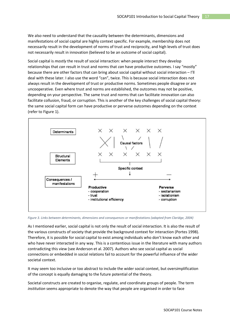We also need to understand that the causality between the determinants, dimensions and manifestations of social capital are highly context specific. For example, membership does not necessarily result in the development of norms of trust and reciprocity, and high levels of trust does not necessarily result in innovation (believed to be an outcome of social capital).

Social capital is *mostly* the result of social interaction: when people interact they develop relationships that *can* result in trust and norms that *can* have productive outcomes. I say "mostly" because there are other factors that can bring about social capital without social interaction  $-$  I'll deal with these later. I also use the word "can", twice. This is because social interaction does not always result in the development of trust or productive norms. Sometimes people disagree or are uncooperative. Even where trust and norms are established, the outcomes may not be positive, depending on your perspective. The same trust and norms that can facilitate innovation can also facilitate collusion, fraud, or corruption. This is another of the key challenges of social capital theory: the same social capital form can have productive or perverse outcomes depending on the context (refer to [Figure 1\)](#page-16-0).



<span id="page-16-0"></span>*Figure 3. Links between determinants, dimensions and consequences or manifestations (adapted from Claridge, 2004)*

As I mentioned earlier, social capital is not only the result of social interaction. It is also the result of the various constructs of society that provide the background context for interaction (Portes 1998). Therefore, it is possible for social capital to exist among individuals who don't know each other and who have never interacted in any way. This is a contentious issue in the literature with many authors contradicting this view (see Anderson et al. 2007). Authors who see social capital as social connections or embedded in social relations fail to account for the powerful influence of the wider societal context.

It may seem too inclusive or too abstract to include the wider social context, but oversimplification of the concept is equally damaging to the future potential of the theory.

Societal constructs are created to organise, regulate, and coordinate groups of people. The term *institution* seems appropriate to denote the way that people are organised in order to face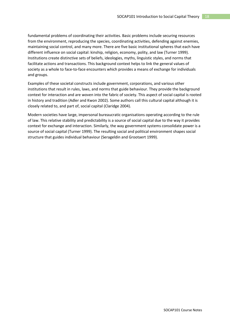fundamental problems of coordinating their activities. Basic problems include securing resources from the environment, reproducing the species, coordinating activities, defending against enemies, maintaining social control, and many more. There are five basic institutional spheres that each have different influence on social capital: kinship, religion, economy, polity, and law (Turner 1999). Institutions create distinctive sets of beliefs, ideologies, myths, linguistic styles, and norms that facilitate actions and transactions. This background context helps to link the general values of society as a whole to face-to-face encounters which provides a means of exchange for individuals and groups.

Examples of these societal constructs include government, corporations, and various other institutions that result in rules, laws, and norms that guide behaviour. They provide the background context for interaction and are woven into the fabric of society. This aspect of social capital is rooted in history and tradition (Adler and Kwon 2002). Some authors call this cultural capital although it is closely related to, and part of, social capital (Claridge 2004).

Modern societies have large, impersonal bureaucratic organisations operating according to the rule of law. This relative stability and predictability is a source of social capital due to the way it provides context for exchange and interaction. Similarly, the way government systems consolidate power is a source of social capital (Turner 1999). The resulting social and political environment shapes social structure that guides individual behaviour (Serageldin and Grootaert 1999).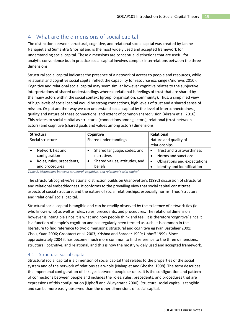# <span id="page-18-0"></span>4 What are the dimensions of social capital

The distinction between structural, cognitive, and relational social capital was created by Janine Nahapiet and Sumantra Ghoshal and is the most widely used and accepted framework for understanding social capital. These dimensions are conceptual distinctions that are useful for analytic convenience but in practice social capital involves complex interrelations between the three dimensions.

Structural social capital indicates the presence of a network of access to people and resources, while relational and cognitive social capital reflect the capability for resource exchange (Andrews 2010). Cognitive and relational social capital may seem similar however cognitive relates to the subjective interpretations of shared understandings whereas relational is feelings of trust that are shared by the many actors within the social context (group, organisation, community). Thus, a simplified view of high levels of social capital would be strong connections, high levels of trust and a shared sense of mission. Or put another way we can understand social capital by the level of interconnectedness, quality and nature of these connections, and extent of common shared vision (Akram et al. 2016). This relates to social capital as structural (connections among actors), relational (trust between actors) and cognitive (shared goals and values among actors) dimensions.

| <b>Structural</b> |                           | Cognitive             |                               | Relational            |                              |
|-------------------|---------------------------|-----------------------|-------------------------------|-----------------------|------------------------------|
| Social structure  |                           | Shared understandings |                               | Nature and quality of |                              |
|                   |                           |                       |                               |                       | relationships                |
|                   | Network ties and          |                       | Shared language, codes, and   |                       | Trust and trustworthiness    |
|                   | configuration             |                       | narratives                    |                       | Norms and sanctions          |
|                   | Roles, rules, precedents, |                       | Shared values, attitudes, and |                       | Obligations and expectations |
|                   | and procedures            |                       | beliefs                       |                       | Identity and identification  |

*Table 2. Distinctions between structural, cognitive, and relational social capital*

The structural/cognitive/relational distinction builds on Granovetter's (1992) discussion of structural and relational embeddedness. It conforms to the prevailing view that social capital constitutes aspects of social structure, and the nature of social relationships, especially norms. Thus 'structural' and 'relational' social capital.

Structural social capital is tangible and can be readily observed by the existence of network ties (ie who knows who) as well as roles, rules, precedents, and procedures. The relational dimension however is intangible since it is what and how people think and feel. It is therefore 'cognitive' since it is a function of people's cognition and has regularly been termed as such. It is common in the literature to find reference to two dimensions: structural and cognitive eg (van Bastelaer 2001; Chou, Yuan 2006; Grootaert et al. 2003; Krishna and Shrader 1999; Uphoff 1999). Since approximately 2004 it has become much more common to find reference to the three dimensions, structural, cognitive, and relational, and this is now the mostly widely used and accepted framework.

## <span id="page-18-1"></span>4.1 Structural social capital

Structural social capital is a dimension of social capital that relates to the properties of the social system and of the network of relations as a whole (Nahapiet and Ghoshal 1998). The term describes the impersonal configuration of linkages between people or units. It is the configuration and pattern of connections between people and includes the roles, rules, precedents, and procedures that are expressions of this configuration (Uphoff and Wijayaratna 2000). Structural social capital is tangible and can be more easily observed than the other dimensions of social capital.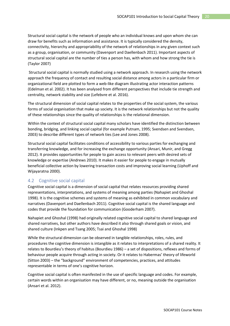Structural social capital is the network of people who an individual knows and upon whom she can draw for benefits such as information and assistance. It is typically considered the density, connectivity, hierarchy and appropriability of the network of relationships in any given context such as a group, organisation, or community (Davenport and Daellenbach 2011). Important aspects of structural social capital are the number of ties a person has, with whom and how strong the tie is (Taylor 2007)

Structural social capital is normally studied using a network approach. In research using the network approach the frequency of contact and resulting social distance among actors in a particular firm or organizational field are plotted to form a web-like diagram illustrating actor interaction patterns (Edelman et al. 2002). It has been analysed from different perspectives that include tie strength and centrality, network stability and size (Lefebvre et al. 2016).

The structural dimension of social capital relates to the properties of the social system, the various forms of social organisation that make up society. It is the network relationships but not the quality of these relationships since the quality of relationships is the relational dimension.

Within the context of structural social capital many scholars have identified the distinction between bonding, bridging, and linking social capital (for example Putnam, 1995; Svendsen and Svendsen, 2003) to describe different types of network ties (Lee and Jones 2008).

Structural social capital facilitates conditions of accessibility to various parties for exchanging and transferring knowledge, and for increasing the exchange opportunity (Ansari, Munir, and Gregg 2012). It provides opportunities for people to gain access to relevant peers with desired sets of knowledge or expertise (Andrews 2010). It makes it easier for people to engage in mutually beneficial collective action by lowering transaction costs and improving social learning (Uphoff and Wijayaratna 2000).

## <span id="page-19-0"></span>4.2 Cognitive social capital

Cognitive social capital is a dimension of social capital that relates resources providing shared representations, interpretations, and systems of meaning among parties (Nahapiet and Ghoshal 1998). It is the cognitive schemes and systems of meaning as exhibited in common vocabulary and narratives (Davenport and Daellenbach 2011). Cognitive social capital is the shared language and codes that provide the foundation for communication (Gooderham 2007).

Nahapiet and Ghoshal (1998) had originally related cognitive social capital to shared language and shared narratives, but other authors have described it also through shared goals or vision, and shared culture (Inkpen and Tsang 2005; Tsai and Ghoshal 1998)

While the structural dimension can be observed in tangible relationships, roles, rules, and procedures the cognitive dimension is intangible as it relates to interpretations of a shared reality. It relates to Bourdieu's theory of habitus (Bourdieu 1986) – a set of dispositions, reflexes and forms of behaviour people acquire through acting in society. Or it relates to Habermas' theory of lifeworld (Sitton 2003) – the "background" environment of competencies, practices, and attitudes representable in terms of one's cognitive horizon.

Cognitive social capital is often manifested in the use of specific language and codes. For example, certain words within an organisation may have different, or no, meaning outside the organisation (Ansari et al. 2012).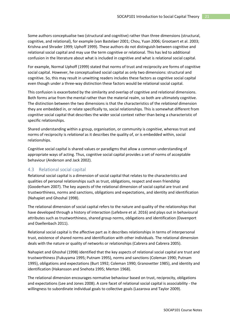Some authors conceptualise two (structural and cognitive) rather than three dimensions (structural, cognitive, and relational), for example (van Bastelaer 2001; Chou, Yuan 2006; Grootaert et al. 2003; Krishna and Shrader 1999; Uphoff 1999). These authors do not distinguish between cognitive and relational social capital and may use the term cognitive or relational. This has led to additional confusion in the literature about what is included in cognitive and what is relational social capital.

For example, Normal Uphoff (1999) stated that norms of trust and reciprocity are forms of cognitive social capital. However, he conceptualised social capital as only two dimensions: structural and cognitive. So, this may result in unwitting readers includes these factors as cognitive social capital even though under a three-way distinction these factors would be relational social capital.

This confusion is exacerbated by the similarity and overlap of cognitive and relational dimensions. Both forms arise from the mental rather than the material realm, so both are ultimately cognitive. The distinction between the two dimensions is that the characteristics of the *relational* dimension they are embedded in, or relate specifically to, social relationships. This is somewhat different from *cognitive* social capital that describes the wider social context rather than being a characteristic of specific relationships.

Shared understanding within a group, organisation, or community is *cognitive*, whereas trust and norms of reciprocity is *relational* as it describes the quality of, or is embedded within, social relationships.

Cognitive social capital is shared values or paradigms that allow a common understanding of appropriate ways of acting. Thus, cognitive social capital provides a set of norms of acceptable behaviour (Anderson and Jack 2002).

## <span id="page-20-0"></span>4.3 Relational social capital

Relational social capital is a dimension of social capital that relates to the characteristics and qualities of personal relationships such as trust, obligations, respect and even friendship (Gooderham 2007). The key aspects of the relational dimension of social capital are trust and trustworthiness, norms and sanctions, obligations and expectations, and identity and identification (Nahapiet and Ghoshal 1998).

The relational dimension of social capital refers to the nature and quality of the relationships that have developed through a history of interaction (Lefebvre et al. 2016) and plays out in behavioural attributes such as trustworthiness, shared group norms, obligations and identification (Davenport and Daellenbach 2011).

Relational social capital is the affective part as it describes relationships in terms of interpersonal trust, existence of shared norms and identification with other individuals. The relational dimension deals with the nature or quality of networks or relationships (Cabrera and Cabrera 2005).

Nahapiet and Ghoshal (1998) identified that the key aspects of relational social capital are trust and trustworthiness (Fukuyama 1995; Putnam 1995), norms and sanctions (Coleman 1990; Putnam 1995), obligations and expectations (Burt 1992; Coleman 1990; Granovetter 1985), and identity and identification (Hakansson and Snehota 1995; Merton 1968).

The relational dimension encourages normative behaviour based on trust, reciprocity, obligations and expectations (Lee and Jones 2008). A core facet of relational social capital is associability - the willingness to subordinate individual goals to collective goals (Lazarova and Taylor 2009).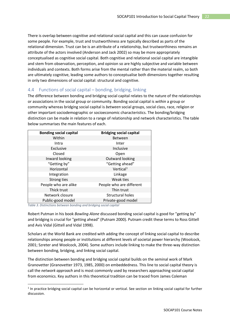There is overlap between cognitive and relational social capital and this can cause confusion for some people. For example, trust and trustworthiness are typically described as parts of the relational dimension. Trust can be is an attribute of a relationship, but trustworthiness remains an attribute of the actors involved (Anderson and Jack 2002) so may be more appropriately conceptualised as cognitive social capital. Both cognitive and relational social capital are intangible and stem from observation, perception, and opinion so are highly subjective and variable between individuals and contexts. Both forms arise from the mental rather than the material realm, so both are ultimately cognitive, leading some authors to conceptualise both dimensions together resulting in only two dimensions of social capital: structural and cognitive.

## <span id="page-21-0"></span>4.4 Functions of social capital – bonding, bridging, linking

The difference between bonding and bridging social capital relates to the nature of the relationships or associations in the social group or community. Bonding social capital is *within* a group or community whereas bridging social capital is *between* social groups, social class, race, religion or other important sociodemographic or socioeconomic characteristics. The bonding/bridging distinction can be made in relation to a range of relationship and network characteristics. The table below summarises the main features of each.

| <b>Bonding social capital</b> | <b>Bridging social capital</b> |
|-------------------------------|--------------------------------|
| Within                        | <b>Between</b>                 |
| Intra                         | Inter                          |
| Exclusive                     | Inclusive                      |
| Closed                        | Open                           |
| Inward looking                | Outward looking                |
| "Getting by"                  | "Getting ahead"                |
| Horizontal                    | Vertical <sup>1</sup>          |
| Integration                   | Linkage                        |
| Strong ties                   | Weak ties                      |
| People who are alike          | People who are different       |
| Thick trust                   | Thin trust                     |
| Network closure               | Structural holes               |
| Public-good model             | Private-good model             |

*Table 3. Distinctions between bonding and bridging social capital*

Robert Putman in his book *Bowling Alone* discussed bonding social capital is good for "getting by" and bridging is crucial for "getting ahead" (Putnam 2000). Putnam credit these terms to Ross Gittell and Avis Vidal (Gittell and Vidal 1998).

Scholars at the World Bank are credited with adding the concept of linking social capital to describe relationships among people or institutions at different levels of societal power hierarchy (Woolcock, 2001; Szreter and Woolcock, 2004). Some authors include linking to make the three-way distinction between bonding, bridging, and linking social capital.

The distinction between bonding and bridging social capital builds on the seminal work of Mark Granovetter (Granovetter 1973, 1985, 2000) on embeddedness. This line to social capital theory is call the *network approach* and is most commonly used by researchers approaching social capital from economics. Key authors in this theoretical tradition can be traced from James Coleman

<span id="page-21-1"></span> $1$  In practice bridging social capital can be horizontal or vertical. See section on linking social capital for further discussion.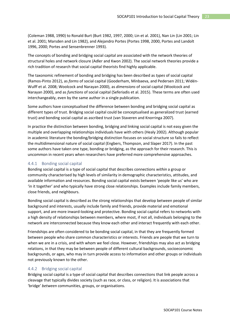(Coleman 1988, 1990) to Ronald Burt (Burt 1982, 1997, 2000; Lin et al. 2001), Nan Lin (Lin 2001; Lin et al. 2001; Marsden and Lin 1982), and Alejandro Portes (Portes 1998, 2000, Portes and Landolt 1996, 2000; Portes and Sensenbrenner 1993).

The concepts of bonding and bridging social capital are associated with the network theories of structural holes and network closure (Adler and Kwon 2002). The social network theories provide a rich tradition of research that social capital theorists find highly applicable.

The taxonomic refinement of bonding and bridging has been described as *types* of social capital (Ramos-Pinto 2012), as *forms* of social capital (Gooderham, Minbaeva, and Pedersen 2011; Widén-Wulff et al. 2008; Woolcock and Narayan 2000), as *dimensions* of social capital (Woolcock and Narayan 2000), and as *functions* of social capital (Seferiadis et al. 2015). These terms are often used interchangeably, even by the same author in a single publication.

Some authors have conceptualised the difference between bonding and bridging social capital as different types of trust. Bridging social capital could be conceptualised as generalized trust (earned trust) and bonding social capital as ascribed trust (van Staveren and Knorringa 2007).

In practice the distinction between bonding, bridging and linking social capital is not easy given the multiple and overlapping relationships individuals have with others (Healy 2002). Although popular in academic literature the bonding/bridging distinction focuses on social structure so fails to reflect the multidimensional nature of social capital (Engbers, Thompson, and Slaper 2017). In the past some authors have taken one type, bonding or bridging, as the approach for their research. This is uncommon in recent years when researchers have preferred more comprehensive approaches.

### 4.4.1 Bonding social capital

Bonding social capital is a type of social capital that describes connections *within* a group or community characterised by high levels of similarity in demographic characteristics, attitudes, and available information and resources. Bonding social capital exists between 'people like us' who are 'in it together' and who typically have strong close relationships. Examples include family members, close friends, and neighbours.

Bonding social capital is described as the strong relationships that develop between people of similar background and interests, usually include family and friends, provide material and emotional support, and are more inward-looking and protective. Bonding social capital refers to networks with a high density of relationships between members, where most, if not all, individuals belonging to the network are interconnected because they know each other and interact frequently with each other.

Friendships are often considered to be bonding social capital, in that they are frequently formed between people who share common characteristics or interests. Friends are people that we turn to when we are in a crisis, and with whom we feel close. However, friendships may also act as bridging relations, in that they may be between people of different cultural backgrounds, socioeconomic backgrounds, or ages, who may in turn provide access to information and other groups or individuals not previously known to the other.

#### 4.4.2 Bridging social capital

Bridging social capital is a type of social capital that describes connections that link people across a cleavage that typically divides society (such as race, or class, or religion). It is associations that 'bridge' *between* communities, groups, or organisations.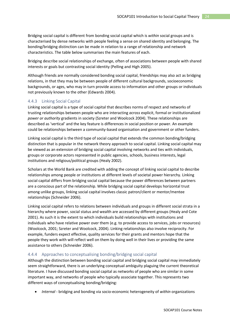Bridging social capital is different from bonding social capital which is *within* social groups and is characterised by dense networks with people feeling a sense on shared identity and belonging. The bonding/bridging distinction can be made in relation to a range of relationship and network characteristics. The table below summarises the main features of each.

Bridging describe social relationships of exchange, often of associations between people with shared interests or goals but contrasting social identity (Pelling and High 2005).

Although friends are normally considered bonding social capital, friendships may also act as bridging relations, in that they may be between people of different cultural backgrounds, socioeconomic backgrounds, or ages, who may in turn provide access to information and other groups or individuals not previously known to the other (Edwards 2004).

## 4.4.3 Linking Social Capital

Linking social capital is a type of social capital that describes norms of respect and networks of trusting relationships between people who are interacting *across* explicit, formal or institutionalized *power or authority* gradients in society (Szreter and Woolcock 2004). These relationships are described as 'vertical' and the key feature is differences in social position or power. An example could be relationships between a community-based organisation and government or other funders.

Linking social capital is the third type of social capital that extends the common bonding/bridging distinction that is popular in the network theory approach to social capital. Linking social capital may be viewed as an extension of bridging social capital involving networks and ties with individuals, groups or corporate actors represented in public agencies, schools, business interests, legal institutions and religious/political groups (Healy 2002).

Scholars at the World Bank are credited with adding the concept of linking social capital to describe relationships among people or institutions at different levels of societal power hierarchy. Linking social capital differs from bridging social capital because the power differences between partners are a conscious part of the relationship. While bridging social capital develops horizontal trust among unlike groups, linking social capital involves classic patron/client or mentor/mentee relationships (Schneider 2006).

Linking social capital refers to relations between individuals and groups in different social strata in a hierarchy where power, social status and wealth are accessed by different groups (Healy and Cote 2001). As such it is the extent to which individuals build relationships with institutions and individuals who have relative power over them (e.g. to provide access to services, jobs or resources) (Woolcock, 2001; Szreter and Woolcock, 2004). Linking relationships also involve reciprocity. For example, funders expect effective, quality services for their grants and mentors hope that the people they work with will reflect well on them by doing well in their lives or providing the same assistance to others (Schneider 2006).

## 4.4.4 Approaches to conceptualising bonding/bridging social capital

Although the distinction between bonding social capital and bridging social capital may immediately seem straightforward, there is an underlying conceptual ambiguity plaguing the current theoretical literature. I have discussed bonding social capital as networks of people who are similar in some important way, and networks of people who typically associate together. This represents two different ways of conceptualising bonding/bridging:

• *Internal* - bridging and bonding via socio-economic heterogeneity of *within* organizations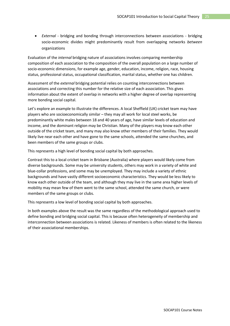• *External* - bridging and bonding through interconnections between associations - bridging socio-economic divides might predominantly result from overlapping networks *between* organizations

Evaluation of the *internal* bridging nature of associations involves comparing membership composition of each association to the composition of the overall population on a large number of socio-economic dimensions, for example age, gender, education, income, religion, race, housing status, professional status, occupational classification, marital status, whether one has children.

Assessment of the *external* bridging potential relies on counting interconnections between associations and correcting this number for the relative size of each association. This gives information about the extent of overlap in networks with a higher degree of overlap representing more bonding social capital.

Let's explore an example to illustrate the differences. A local Sheffield (UK) cricket team may have players who are socioeconomically similar – they may all work for local steel works, be predominantly white males between 18 and 40 years of age, have similar levels of education and income, and the dominant religion may be Christian. Many of the players may know each other outside of the cricket team, and many may also know other members of their families. They would likely live near each other and have gone to the same schools, attended the same churches, and been members of the same groups or clubs.

This represents a high level of bonding social capital by both approaches.

Contrast this to a local cricket team in Brisbane (Australia) where players would likely come from diverse backgrounds. Some may be university students, others may work in a variety of white and blue-collar professions, and some may be unemployed. They may include a variety of ethnic backgrounds and have vastly different socioeconomic characteristics. They would be less likely to know each other outside of the team, and although they may live in the same area higher levels of mobility may mean few of them went to the same school, attended the same church, or were members of the same groups or clubs.

This represents a low level of bonding social capital by both approaches.

In both examples above the result was the same regardless of the methodological approach used to define bonding and bridging social capital. This is because often heterogeneity of membership and interconnection between associations is related. Likeness of members is often related to the likeness of their associational memberships.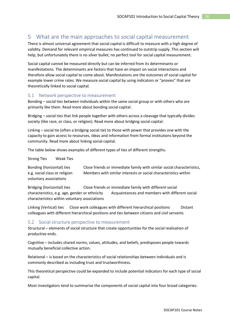# <span id="page-25-0"></span>5 What are the main approaches to social capital measurement

There is almost universal agreement that social capital is difficult to measure with a high degree of validity. Demand for relevant empirical measures has continued to outstrip supply. This section will help, but unfortunately there is no silver bullet; no perfect tool for social capital measurement.

Social capital cannot be measured directly but can be inferred from its determinants or manifestations. The determinants are factors that have an impact on social interactions and therefore allow social capital to come about. Manifestations are the outcomes of social capital for example lower crime rates. We measure social capital by using indicators or "proxies" that are theoretically linked to social capital.

## <span id="page-25-1"></span>5.1 Network perspective to measurement

Bonding – social ties between individuals within the same social group or with others who are primarily like them. Read more about bonding social capital.

Bridging – social ties that link people together with others across a cleavage that typically divides society (like race, or class, or religion). Read more about bridging social capital.

Linking – social tie (often a bridging social tie) to those with power that provides one with the capacity to gain access to resources, ideas and information from formal institutions beyond the community. Read more about linking social capital.

The table below shows examples of different types of ties of different strengths.

Strong Ties Weak Ties

Bonding (horizontal) ties Close friends or immediate family with similar social characteristics, e.g. social class or religion Members with similar interests or social characteristics within voluntary associations

Bridging (horizontal) ties Close friends or immediate family with different social characteristics, e.g. age, gender or ethnicity Acquaintances and members with different social characteristics within voluntary associations

Linking (Vertical) ties Close work colleagues with different hierarchical positions Distant colleagues with different hierarchical positions and ties between citizens and civil servants

## <span id="page-25-2"></span>5.2 Social structure perspective to measurement

Structural – elements of social structure that create opportunities for the social realisation of productive ends.

Cognitive – includes shared norms, values, attitudes, and beliefs, predisposes people towards mutually beneficial collective action.

Relational – is based on the characteristics of social relationships between individuals and is commonly described as including trust and trustworthiness.

This theoretical perspective could be expanded to include potential indicators for each type of social capital.

Most investigators tend to summarise the components of social capital into four broad categories: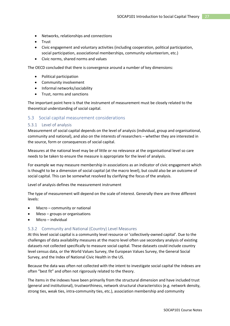- Networks, relationships and connections
- Trust
- Civic engagement and voluntary activities (including cooperation, political participation, social participation, associational memberships, community volunteerism, etc.)
- Civic norms, shared norms and values

The OECD concluded that there is convergence around a number of key dimensions:

- Political participation
- Community involvement
- Informal networks/sociability
- Trust, norms and sanctions

The important point here is that the instrument of measurement must be closely related to the theoretical understanding of social capital.

## <span id="page-26-0"></span>5.3 Social capital measurement considerations

#### 5.3.1 Level of analysis

Measurement of social capital depends on the level of analysis (individual, group and organisational, community and national), and also on the interests of researchers – whether they are interested in the source, form or consequences of social capital.

Measures at the national level may be of little or no relevance at the organisational level so care needs to be taken to ensure the measure is appropriate for the level of analysis.

For example we may measure membership in associations as an indicator of civic engagement which is thought to be a dimension of social capital (at the macro level), but could also be an outcome of social capital. This can be somewhat resolved by clarifying the focus of the analysis.

Level of analysis defines the measurement instrument

The type of measurement will depend on the scale of interest. Generally there are three different levels:

- Macro community or national
- $Meso-groups$  or organisations
- Micro individual

#### 5.3.2 Community and National (Country) Level Measures

At this level social capital is a community level resource or 'collectively-owned capital'. Due to the challenges of data availability measures at the macro level often use secondary analysis of existing datasets not collected specifically to measure social capital. These datasets could include country level census data, or the World Values Survey, the European Values Survey, the General Social Survey, and the Index of National Civic Health in the US.

Because the data was often not collected with the intent to investigate social capital the indexes are often "best fit" and often not rigorously related to the theory.

The items in the indexes have been primarily from the structural dimension and have included trust (general and institutional), trustworthiness, network structural characteristics (e.g. network density, strong ties, weak ties, intra-community ties, etc.), association membership and community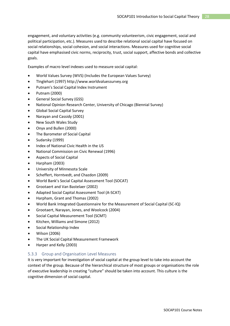engagement, and voluntary activities (e.g. community volunteerism, civic engagement, social and political participation, etc.). Measures used to describe relational social capital have focused on social relationships, social cohesion, and social interactions. Measures used for cognitive social capital have emphasised civic norms, reciprocity, trust, social support, affective bonds and collective goals.

Examples of macro level indexes used to measure social capital:

- World Values Survey (WVS) (Includes the European Values Survey)
- TInglehart (1997) http://www.worldvaluessurvey.org
- Putnam's Social Capital Index Instrument
- Putnam (2000)
- General Social Survey (GSS)
- National Opinion Research Center, University of Chicago (Biennial Survey)
- Global Social Capital Survey
- Narayan and Cassidy (2001)
- New South Wales Study
- Onyx and Bullen (2000)
- The Barometer of Social Capital
- Sudarsky (1999)
- Index of National Civic Health in the US
- National Commission on Civic Renewal (1996)
- Aspects of Social Capital
- Harpham (2003)
- University of Minnesota Scale
- Scheffert, Horntvedt, and Chazdon (2009)
- World Bank's Social Capital Assessment Tool (SOCAT)
- Grootaert and Van Bastelaer (2002)
- Adapted Social Capital Assessment Tool (A-SCAT)
- Harpham, Grant and Thomas (2002)
- World Bank Integrated Questionnaire for the Measurement of Social Capital (SC-IQ)
- Grootaert, Narayan, Jones, and Woolcock (2004)
- Social Capital Measurement Tool (SCMT)
- Kitchen, Williams and Simone (2012)
- Social Relationship Index
- Wilson (2006)
- The UK Social Capital Measurement Framework
- Harper and Kelly (2003)

## 5.3.3 Group and Organisation Level Measures

It is very important for investigation of social capital at the group level to take into account the context of the group. Because of the hierarchical structure of most groups or organisations the role of executive leadership in creating "culture" should be taken into account. This culture is the cognitive dimension of social capital.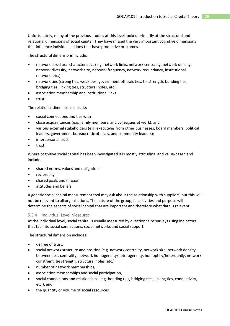Unfortunately, many of the previous studies at this level looked primarily at the structural and relational dimensions of social capital. They have missed the very important cognitive dimensions that influence individual actions that have productive outcomes.

The structural dimensions include:

- network structural characteristics (e.g. network links, network centrality, network density, network diversity, network size, network frequency, network redundancy, institutional network, etc.)
- network ties (strong ties, weak ties, government officials ties, tie strength, bonding ties, bridging ties, linking ties, structural holes, etc.)
- association membership and institutional links
- trust

The relational dimensions include:

- social connections and ties with
- close acquaintances (e.g. family members, and colleagues at work), and
- various external stakeholders (e.g. executives from other businesses, board members, political leaders, government bureaucratic officials, and community leaders);
- interpersonal trust
- trust

Where cognitive social capital has been investigated it is mostly attitudinal and value-based and include:

- shared norms, values and obligations
- reciprocity
- shared goals and mission
- attitudes and beliefs

A generic social capital measurement tool may ask about the relationship with suppliers, but this will not be relevant to all organisations. The nature of the group, its activities and purpose will determine the aspects of social capital that are important and therefore what data is relevant.

## 5.3.4 Individual Level Measures

At the individual level, social capital is usually measured by questionnaire surveys using indicators that tap into social connections, social networks and social support.

The structural dimension includes:

- degree of trust,
- social network structure and position (e.g. network centrality, network size, network density, betweenness centrality, network homogeneity/heterogeneity, homophily/heterophily, network constraint, tie strength, structural holes, etc.),
- number of network memberships,
- association memberships and social participation,
- social connections and relationships (e.g. bonding ties, bridging ties, linking ties, connectivity, etc.), and
- the quantity or volume of social resources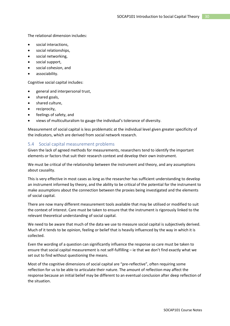The relational dimension includes:

- social interactions.
- social relationships,
- social networking,
- social support,
- social cohesion, and
- associability.

Cognitive social capital includes:

- general and interpersonal trust,
- shared goals,
- shared culture,
- reciprocity,
- feelings of safety, and
- views of multiculturalism to gauge the individual's tolerance of diversity.

Measurement of social capital is less problematic at the individual level given greater specificity of the indicators, which are derived from social network research.

#### <span id="page-29-0"></span>5.4 Social capital measurement problems

Given the lack of agreed methods for measurements, researchers tend to identify the important elements or factors that suit their research context and develop their own instrument.

We must be critical of the relationship between the instrument and theory, and any assumptions about causality.

This is very effective in most cases as long as the researcher has sufficient understanding to develop an instrument informed by theory, and the ability to be critical of the potential for the instrument to make assumptions about the connection between the proxies being investigated and the elements of social capital.

There are now many different measurement tools available that may be utilised or modified to suit the context of interest. Care must be taken to ensure that the instrument is rigorously linked to the relevant theoretical understanding of social capital.

We need to be aware that much of the data we use to measure social capital is subjectively derived. Much of it tends to be opinion, feeling or belief that is heavily influenced by the way in which it is collected.

Even the wording of a question can significantly influence the response so care must be taken to ensure that social capital measurement is not self-fulfilling – ie that we don't find exactly what we set out to find without questioning the means.

Most of the cognitive dimensions of social capital are "pre-reflective", often requiring some reflection for us to be able to articulate their nature. The amount of reflection may affect the response because an initial belief may be different to an eventual conclusion after deep reflection of the situation.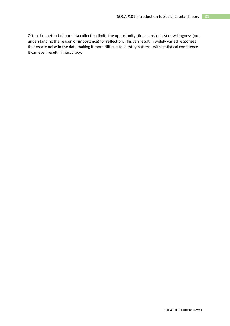Often the method of our data collection limits the opportunity (time constraints) or willingness (not understanding the reason or importance) for reflection. This can result in widely varied responses that create noise in the data making it more difficult to identify patterns with statistical confidence. It can even result in inaccuracy.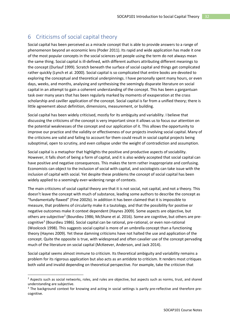# <span id="page-31-0"></span>6 Criticisms of social capital theory

Social capital has been perceived as a miracle concept that is able to provide answers to a range of phenomenon beyond an economic lens (Poder 2011). Its rapid and wide application has made it one of the most popular concepts in the social sciences yet people using the term do not always mean the same thing. Social capital is ill-defined, with different authors attributing different meanings to the concept (Durlauf 1999). Scratch beneath the surface of social capital and things get complicated rather quickly (Lynch et al. 2000). Social capital is so complicated that entire books are devoted to exploring the conceptual and theoretical underpinnings. I have personally spent many hours, or even days, weeks, and months, analysing and synthesising the seemingly disparate literature on social capital in an attempt to gain a coherent understanding of the concept. This has been a gargantuan task over many years that has been regularly marked by moments of exasperation at the crass scholarship and caviller application of the concept. Social capital is far from a unified theory; there is little agreement about definition, dimensions, measurement, or building.

Social capital has been widely criticised, mostly for its ambiguity and variability. I believe that discussing the criticisms of the concept is very important since it allows us to focus our attention on the potential weaknesses of the concept and our application of it. This allows the opportunity to improve our practice and the validity or effectiveness of our projects involving social capital. Many of the criticisms are valid and failing to account for them could result in social capital projects being suboptimal, open to scrutiny, and even collapse under the weight of contradiction and assumption.

Social capital is a metaphor that highlights the positive and productive aspects of sociability. However, it falls short of being a form of capital, and it is also widely accepted that social capital can have positive and negative consequences. This makes the term rather inappropriate and confusing. Economists can object to the inclusion of social with capital, and sociologists can take issue with the inclusion of capital with social. Yet despite these problems the concept of social capital has been widely applied to a seemingly ever-widening range of contexts.

The main criticisms of social capital theory are that it is not social, not capital, and not a theory. This doesn't leave the concept with much of substance, leading some authors to describe the concept as "fundamentally flawed" (Fine 2002b). In addition it has been claimed that it is impossible to measure, that problems of circularity make it a tautology, and that the possibility for positive or negative outcomes make it context dependent (Haynes 2009). Some aspects are objective, but others are subjective<sup>[2](#page-31-1)</sup> (Bourdieu 1986; McShane et al. 2016). Some are cognitive, but others are pre-cognitive<sup>[3](#page-31-2)</sup> (Bourdieu 1986). Social capital can be rational, pre-rational, or even non-rational (Woolcock 1998). This suggests social capital is more of an umbrella concept than a functioning theory (Haynes 2009). Yet these damning criticisms have not halted the use and application of the concept. Quite the opposite is true, with widespread and often cavalier use of the concept pervading much of the literature on social capital (McKeever, Anderson, and Jack 2014).

Social capital seems almost immune to criticism. Its theoretical ambiguity and variability remains a problem for its rigorous application but also acts as an antidote to criticism. It renders most critiques both valid and invalid depending on theoretical perspective. For example, take the criticism that

<span id="page-31-1"></span><sup>&</sup>lt;sup>2</sup> Aspects such as social networks, roles, and rules are objective, but aspects such as norms, trust, and shared understanding are subjective.

<span id="page-31-2"></span><sup>&</sup>lt;sup>3</sup> The background context for knowing and acting in social settings is partly pre-reflective and therefore precognitive.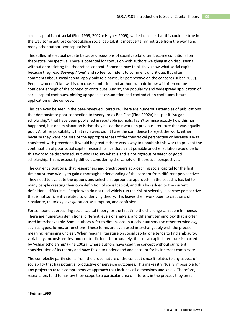social capital is not social (Fine 1999, 2002a; Haynes 2009); while I can see that this could be true in the way some authors conceputalise social capital, it is most certainly not true from the way I and many other authors conceputalise it.

This stifles intellectual debate because discussions of social capital often become conditional on theoretical perspective. There is potential for confusion with authors weighing in on discussions without appreciating the theoretical context. Someone may think they know what social capital is because they read *Bowling Alone[4](#page-32-0)* and so feel confident to comment or critique. But often comments about social capital apply only to a particular perspective on the concept (Huber 2009). People who don't know this can cause confusion and authors who do know will often not be confident enough of the context to contribute. And so, the popularity and widespread application of social capital continues, picking up speed as assumption and contradiction confounds future application of the concept.

This can even be seen in the peer-reviewed literature. There are numerous examples of publications that demonstrate poor connection to theory, or as Ben Fine (Fine 2002a) has put it "vulgar scholarship", that have been published in reputable journals. I can't surmise exactly how this has happened, but one explanation is that they based their work on previous literature that was equally poor. Another possibility is that reviewers didn't have the confidence to reject the work, either because they were not sure of the appropriateness of the theoretical perspective or because it was consistent with precedent. It would be great if there was a way to unpublish this work to prevent the continuation of poor social capital research. Since that is not possible another solution would be for this work to be discredited. But who is to say what is and is not rigorous research or good scholarship. This is especially difficult considering the variety of theoretical perspectives.

The current situation is that researchers and practitioners approaching social capital for the first time must read widely to gain a thorough understanding of the concept from different perspectives. They need to evaluate the options and select an appropriate approach. In the past this has led to many people creating their own definition of social capital, and this has added to the current definitional difficulties. People who do not read widely run the risk of selecting a narrow perspective that is not sufficiently related to underlying theory. This leaves their work open to criticisms of circularity, tautology, exaggeration, assumption, and confusion.

For someone approaching social capital theory for the first time the challenge can seem immense. There are numerous definitions, different levels of analysis, and different terminology that is often used interchangeably. Some authors refer to dimensions, but other authors use other terminology such as types, forms, or functions. These terms are even used interchangeably with the precise meaning remaining unclear. When reading literature on social capital one tends to find ambiguity, variability, inconsistencies, and contradiction. Unfortunately, the social capital literature is marred by 'vulgar scholarship' (Fine 2002a) where authors have used the concept without sufficient consideration of its theory and have failed to understand and account for its inherent complexity.

The complexity partly stems from the broad nature of the concept since it relates to any aspect of sociability that has potential productive or perverse outcomes. This makes it virtually impossible for any project to take a comprehensive approach that includes all dimensions and levels. Therefore, researchers tend to narrow their scope to a particular area of interest, in the process they omit

<span id="page-32-0"></span> <sup>4</sup> Putnam 1995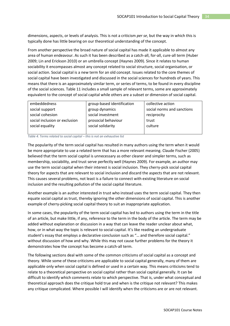dimensions, aspects, or levels of analysis. This is not a criticism *per se*, but the way in which this is typically done has little bearing on our theoretical understanding of the concept.

From another perspective the broad nature of social capital has made it applicable to almost any area of human endeavour. As such it has been described as a catch-all, for-all, cure-all term (Huber 2009; Lin and Erickson 2010) or an umbrella concept (Haynes 2009). Since it relates to human sociability it encompasses almost any concept related to social structure, social organisation, or social action. Social capital is a new term for an old concept. Issues related to the core themes of social capital have been investigated and discussed in the social sciences for hundreds of years. This means that there is an approximately similar term, or series of terms, to be found in every discipline of the social sciences. [Table 11](#page-33-0) includes a small sample of relevant terms, some are approximately equivalent to the concept of social capital while others are a subset or dimension of social capital.

| embeddedness                  | group-based identification | collective action          |
|-------------------------------|----------------------------|----------------------------|
| social support                | group dynamics             | social norms and sanctions |
| social cohesion               | social investment          | reciprocity                |
| social inclusion or exclusion | prosocial behaviour        | trust                      |
| social equality               | social solidarity          | culture                    |
|                               |                            |                            |

<span id="page-33-0"></span>*Table 4. Terms related to social capital – this is not an exhaustive list*

The popularity of the term social capital has resulted in many authors using the term when it would be more appropriate to use a related term that has a more relevant meaning. Claude Fischer (2005) believed that the term social capital is unnecessary as other clearer and simpler terms, such as membership, sociability, and trust serve perfectly well (Haynes 2009). For example, an author may use the term social capital when their interest is social inclusion. They cherry-pick social capital theory for aspects that are relevant to social inclusion and discard the aspects that are not relevant. This causes several problems, not least is a failure to connect with existing literature on social inclusion and the resulting pollution of the social capital literature.

Another example is an author interested in trust who instead uses the term social capital. They then equate social capital as trust, thereby ignoring the other dimensions of social capital. This is another example of cherry-picking social capital theory to suit an inappropriate application.

In some cases, the popularity of the term social capital has led to authors using the term in the title of an article, but make little, if any, reference to the term in the body of the article. The term may be added without explanation or discussion in a way that can leave the reader unclear about what, how, or in what way the topic is relevant to social capital. It's like reading an undergraduate student's essay that employs a declarative conclusion such as "… and therefore social capital." without discussion of how and why. While this may not cause further problems for the theory it demonstrates how the concept has become a catch-all term.

The following sections deal with some of the common criticisms of social capital as a concept and theory. While some of these criticisms are applicable to social capital generally, many of them are applicable only when social capital is defined or used in a certain way. This means criticisms tend to relate to a theoretical perspective on social capital rather than social capital generally. It can be difficult to identify which comments relate to which perspective. That is, under what conceptual and theoretical approach does the critique hold true and when is the critique not relevant? This makes any critique complicated. Where possible I will identify when the criticisms are or are not relevant.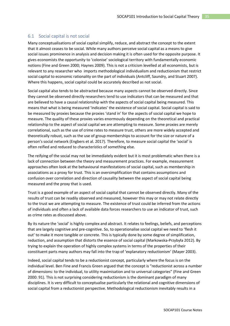## <span id="page-34-0"></span>6.1 Social capital is not social

Many conceptualisations of social capital simplify, reduce, and abstract the concept to the extent that it almost ceases to be social. While many authors perceive social capital as a means to give social issues prominence in analysis and decision making it is often used for the opposite purpose. It gives economists the opportunity to 'colonise' sociological territory with fundamentally economic notions (Fine and Green 2000; Haynes 2009). This is not a criticism levelled at all economists, but is relevant to any researcher who imports methodological individualism and reductionism that restrict social capital to economic rationality on the part of individuals (Antcliff, Saundry, and Stuart 2007). Where this happens, social capital could be accurately described as not social.

Social capital also tends to be abstracted because many aspects cannot be observed directly. Since they cannot be observed directly researchers tend to use indicators that can be measured and that are believed to have a causal relationship with the aspects of social capital being measured. This means that what is being measured 'indicates' the existence of social capital. Social capital is said to be measured by proxies because the proxies 'stand in' for the aspects of social capital we hope to measure. The quality of these proxies varies enormously depending on the theoretical and practical relationship to the aspect of social capital we are attempting to measure. Some proxies are merely correlational, such as the use of crime rates to measure trust, others are more widely accepted and theoretically robust, such as the use of group memberships to account for the size or nature of a person's social network (Engbers et al. 2017). Therefore, to measure social capital the 'social' is often reified and reduced to characteristics of something else.

The reifying of the social may not be immediately evident but it is most problematic when there is a lack of connection between the theory and measurement practices. For example, measurement approaches often look at the behavioural manifestations of social capital, such as membership in associations as a proxy for trust. This is an oversimplification that contains assumptions and confusion over correlation and direction of causality between the aspect of social capital being measured and the proxy that is used.

Trust is a good example of an aspect of social capital that cannot be observed directly. Many of the results of trust can be readily observed and measured, however this may or may not relate directly to the trust we are attempting to measure. The existence of trust could be inferred from the actions of individuals and often a lack of available data forces researchers to use an indicator of trust, such as crime rates as discussed above.

By its nature the 'social' is highly complex and abstract. It relates to feelings, beliefs, and perceptions that are largely cognitive and pre-cognitive. So, to operationalise social capital we need to 'flesh it out' to make it more tangible or concrete. This is typically done by some degree of simplification, reduction, and assumption that distorts the essence of social capital (Markowska-Przybyła 2012). By trying to explain the operation of highly complex systems in terms of the properties of their constituent parts many authors may fall into the trap of 'explanatory reductionism' (Mayer 2003).

Indeed, social capital tends to be a reductionist concept, particularly where the focus is on the individual level. Ben Fine and Francis Green argued that the concept is "reductionist across a number of dimensions: to the individual, to utility maximisation and to universal categories" (Fine and Green 2000: 91). This is not surprising considering reductionism is the dominant paradigm of many disciplines. It is very difficult to conceptualise particularly the relational and cognitive dimensions of social capital from a reductionist perspective. Methodological reductionism inevitably results in a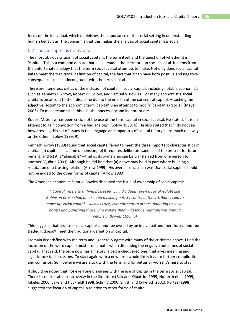focus on the individual, which diminishes the importance of the social setting in understanding human behaviour. The concern is that this makes the analysis of social capital less social.

## <span id="page-35-0"></span>6.2 Social capital is not capital

The most obvious criticism of social capital is the term itself and the question of whether it is 'capital'. This is a common debate that has pervaded the literature on social capital. It stems from the unfortunate analogy that the term social capital attempts to make. Not only does social capital fail to meet the traditional definition of capital, the fact that it can have both positive and negative consequences make it incongruent with the term capital.

There are numerous critics of the inclusion of capital in social capital, including notable economists such as Kenneth J. Arrow, Robert M. Solow, and Samuel S. Bowles. For many economist's social capital is an affront to their discipline due to the erosion of the concept of capital. Attaching the adjective 'social' to the economic term 'capital' is an attempt to modify 'capital' as 'social' (Mayer 2003). To most economists this is both unnecessary and inappropriate.

Robert M. Solow has been critical of the use of the term capital in social capital. He stated, "it is an attempt to gain conviction from a bad analogy" (Solow 1999: 6). He also stated that "I do not see how dressing this set of issues in the language and apparatus of capital theory helps much one way or the other" (Solow 1999: 9).

Kenneth Arrow (1999) found that social capital failed to meet the three important characteristics of capital: (a) capital has a time dimension; (b) it requires deliberate sacrifice of the present for future benefit; and (c) it is "alienable"—that is, its ownership can be transferred from one person to another (Quibria 2003). Although he did find that (a) above may hold in part where building a reputation or a trusting relation (Arrow 1999). His overall conclusion was that social capital should not be added to the other forms of capital (Arrow 1999).

The American economist Samuel Bowles discussed the issue of ownership of social capital:

*"'Capital' refers to a thing possessed by individuals; even a social isolate like Robinson Crusoe had an axe and a fishing net. By contrast, the attributes said to make up social capital—such as trust, commitment to others, adhering to social norms and punishing those who violate them—describe relationships among people". (Bowles 1999: 6)*

This suggests that because social capital cannot be owned by an individual and therefore cannot be traded it doesn't meet the traditional definition of capital.

I remain dissatisfied with the term and I generally agree with many of the criticisms above. I find the inclusion of the word capital most problematic when discussing the negative outcomes of social capital. That said, the term now has a history, albeit a chequered one, that gives meaning and significance to discussions. To start again with a new term would likely lead to further complication and confusion. So, I believe we are stuck with the term and for better or worse it's here to stay.

It should be noted that not everyone disagrees with the use of capital in the term social capital. There is considerable controversy in the literature (Falk and Kilpatrick 1999; Hofferth et al. 1999; Inkeles 2000; Lake and Huckfeldt 1998; Schmid 2000; Smith and Kulynych 2002). Portes (1998) suggested the location of capital in relation to other forms of capital: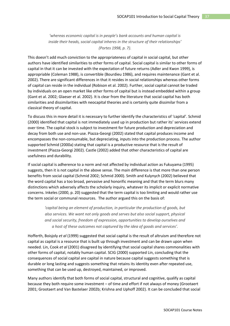*'whereas economic capital is in people's bank accounts and human capital is inside their heads, social capital inheres in the structure of their relationships' (Portes 1998, p. 7).*

This doesn't add much conviction to the appropriateness of capital in social capital, but other authors have identified similarities to other forms of capital. Social capital is similar to other forms of capital in that it can be invested with the expectation of future returns (Adler and Kwon 1999), is appropriable (Coleman 1988), is convertible (Bourdieu 1986), and requires maintenance (Gant et al. 2002). There are significant differences in that it resides in social relationships whereas other forms of capital can reside in the individual (Robison et al. 2002). Further, social capital cannot be traded by individuals on an open market like other forms of capital but is instead embedded within a group (Gant et al. 2002; Glaeser et al. 2002). It is clear from the literature that social capital has both similarities and dissimilarities with neocapital theories and is certainly quite dissimilar from a classical theory of capital.

To discuss this in more detail it is necessary to further identify the characteristics of 'capital'. Schmid (2000) identified that capital is not immediately used up in production but rather its' services extend over time. The capital stock is subject to investment for future production and depreciation and decay from both use and non-use. Piazza-Georgi (2002) stated that capital produces income and encompasses the non-consumable, but depreciating, inputs into the production process. The author supported Schmid (2000a) stating that capital is a productive resource that is the result of investment (Piazza-Georgi 2002). Castle (2002) added that other characteristics of capital are usefulness and durability.

If social capital is adherence to a norm and not affected by individual action as Fukuyama (1995) suggests, then it is not capital in the above sense. The main difference is that more than one person benefits from social capital (Schmid 2002; Schmid 2000). Smith and Kulynych (2002) believed that the word capital has a too broad, pervasive and honorific meaning and that the term blurs many distinctions which adversely affects the scholarly inquiry, whatever its implicit or explicit normative concerns. Inkeles (2000, p. 20) suggested that the term capital is too limiting and would rather use the term social or communal resources. The author argued this on the basis of:

*'capital being an element of production, in particular the production of goods, but also services. We want not only goods and serves but also social support, physical and social security, freedom of expression, opportunities to develop ourselves and a host of these outcomes not captured by the idea of goods and services'.*

Hofferth, Boisjoly *et al* (1999) suggested that social capital is the result of altruism and therefore not capital as capital is a resource that is built up through investment and can be drawn upon when needed. Lin, Cook *et al* (2001) disagreed by identifying that social capital shares commonalities with other forms of capital, notably human capital. SCIG (2000) supported Lin, concluding that the consequences of social capital are capital in nature because capital suggests something that is durable or long lasting and suggests something that retains its identity even after repeated use, something that can be used up, destroyed, maintained, or improved.

Many authors identify that both forms of social capital, structural and cognitive, qualify as capital because they both require some investment – of time and effort if not always of money (Grootaert 2001; Grootaert and Van Bastelaer 2002b; Krishna and Uphoff 2002). It can be concluded that social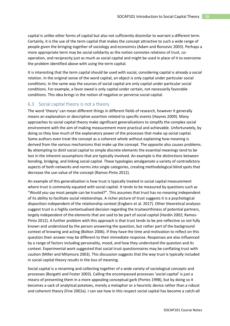capital is unlike other forms of capital but also not sufficiently dissimilar to warrant a different term. Certainly, it is the use of the term capital that makes the concept attractive to such a wide range of people given the bringing together of sociology and economics (Adam and Roncevic 2003). Perhaps a more appropriate term may be social solidarity as the notion connotes relations of trust, cooperation, and reciprocity just as much as social capital and might be used in place of it to overcome the problem identified above with using the term capital.

It is interesting that the term capital should be used with social, considering capital is already a social relation. In the original sense of the word capital, an object is only capital under particular social conditions. In the same way the sources of social capital are only capital under particular social conditions. For example, a favor owed is only capital under certain, not necessarily favorable conditions. This idea brings in the notion of negative or perverse social capital.

## <span id="page-37-0"></span>6.3 Social capital theory is not a theory

The word 'theory' can mean different things in different fields of research, however it generally means an explanation or descriptive assertion related to specific events (Haynes 2009). Many approaches to social capital theory make significant generalisations to simplify the complex social environment with the aim of making measurement more practical and achievable. Unfortunately, by doing so they lose much of the explanatory power of the processes that make up social capital. Some authors even treat the concept as a coherent whole without explaining how meaning is derived from the various mechanisms that make up the concept. The opposite also causes problems. By attempting to distil social capital to simple discrete elements the essential meanings tend to be lost in the inherent assumptions that are typically involved. An example is the distinctions between bonding, bridging, and linking social capital. These typologies amalgamate a variety of contradictory aspects of both networks and norms into single categories, creating methodological blind spots that decrease the use-value of the concept (Ramos-Pinto 2012).

An example of this generalisation is how trust is typically treated in social capital measurement where trust is commonly equated with social capital. It tends to be measured by questions such as "Would you say most people can be trusted?". This assumes that trust has no meaning independent of its ability to facilitate social relationships. A richer picture of trust suggests it is a psychological disposition independent of the relationship context (Engbers et al. 2017). Other theoretical analyses suggest trust is a highly contextualised decision regarding the trustworthiness of potential partners, largely independent of the elements that are said to be part of social capital (Hardin 2002; Ramos-Pinto 2012). A further problem with this approach is that trust tends to be pre-reflective so not fully known and understood by the person answering the question, but rather part of the background context of knowing and acting (Bolton 2006). If they have the time and motivation to reflect on this question their answer may be different to their immediate response. Responses are also influenced by a range of factors including personality, mood, and how they understand the question and its context. Experimental work suggested that social trust questionnaires may be conflating trust with caution (Miller and Mitamura 2003). This discussion suggests that the way trust is typically included in social capital theory results in the loss of meaning.

Social capital is a renaming and collecting together of a wide variety of sociological concepts and processes (Borgatti and Foster 2003). Calling the encompassed processes 'social capital' is just a means of presenting them in a more appealing conceptual garb (Portes 1998), but by doing so it becomes a sack of analytical potatoes, merely a metaphor or a heuristic device rather than a robust and coherent theory (Fine 2002a). I can see how in this respect social capital has become a catch-all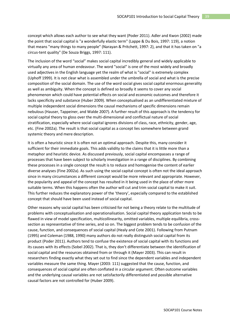concept which allows each author to see what they want (Poder 2011). Adler and Kwon (2002) made the point that social capital is "a wonderfully elastic term" (Lappe & Du Bois, 1997: 119), a notion that means "many things to many people" (Narayan & Pritchett, 1997: 2), and that it has taken on "a circus-tent quality" (De Souza Briggs, 1997: 111).

The inclusion of the word "social" makes social capital incredibly general and widely applicable to virtually any area of human endeavour. The word "social" is one of the most widely and broadly used adjectives in the English language yet the realm of what is "social" is extremely complex (Uphoff 1999). It is not clear what is assembled under the umbrella of social and what is the precise composition of the social domain. The use of the word social gives social capital enormous generality as well as ambiguity. When the concept is defined so broadly it seems to cover any social phenomenon which could have potential effects on social and economic outcomes and therefore it lacks specificity and substance (Huber 2009). When conceptualised as an undifferentiated mixture of multiple independent social dimensions the causal mechanisms of specific dimensions remain nebulous (Hauser, Tappeiner, and Walde 2007). A further result of this approach is the tendency for social capital theory to gloss over the multi-dimensional and conflictual nature of social stratification, especially where social capital ignores divisions of class, race, ethnicity, gender, age, etc. (Fine 2002a). The result is that social capital as a concept lies somewhere between grand systemic theory and mere description.

It is often a heuristic since it is often not an optimal approach. Despite this, many consider it sufficient for their immediate goals. This adds validity to the claims that it is little more than a metaphor and heuristic device. As discussed previously, social capital encompasses a range of processes that have been subject to scholarly investigation in a range of disciplines. By combining these processes in a single concept the result is to reduce and homogenise the content of earlier diverse analyses (Fine 2002a). As such using the social capital concept is often not the ideal approach since in many circumstances a different concept would be more relevant and appropriate. However, the popularity and appeal of the concept has resulted in it being used in the place of other more suitable terms. When this happens often the author will cut and trim social capital to make it suit. This further reduces the explanatory power of the 'theory', especially compared to the established concept that should have been used instead of social capital.

Other reasons why social capital has been criticised for not being a theory relate to the multitude of problems with conceptualisation and operationalisation. Social capital theory application tends to be flawed in view of model specification, multicollinearity, omitted variables, multiple equilibria, crosssection as representative of time series, and so on. The biggest problem tends to be confusion of the cause, function, and consequences of social capital (Healy and Cote 2001). Following from Putnam (1995) and Coleman (1988, 1990) many authors do not really distinguish social capital from its product (Poder 2011). Authors tend to confuse the existence of social capital with its functions and its causes with its effects (Sobel 2002). That is, they don't differentiate between the identification of social capital and the resources obtained from or through it (Mayer 2003). This can result in researchers finding exactly what they set out to find since the dependent variables and independent variables measure the same thing. Mayer (2003: 111) suggested that the cause, function, and consequences of social capital are often conflated in a circular argument. Often outcome variables and the underlying causal variables are not satisfactorily differentiated and possible alternative causal factors are not controlled for (Huber 2009).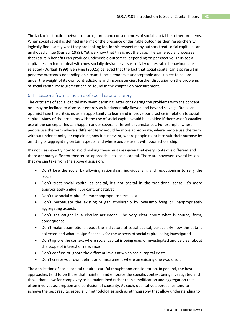The lack of distinction between source, form, and consequences of social capital has other problems. When social capital is defined in terms of the presence of desirable outcomes then researchers will logically find exactly what they are looking for. In this respect many authors treat social capital as an unalloyed virtue (Durlauf 1999). Yet we know that this is not the case. The same social processes that result in benefits can produce undesirable outcomes, depending on perspective. Thus social capital research must deal with how socially desirable versus socially undesirable behaviours are selected (Durlauf 1999). Ben Fine (2002a) believed that the fact that social capital can also result in perverse outcomes depending on circumstances renders it unacceptable and subject to collapse under the weight of its own contradictions and inconsistencies. Further discussion on the problems of social capital measurement can be found in the chapter on measurement.

## <span id="page-39-0"></span>6.4 Lessons from criticisms of social capital theory

The criticisms of social capital may seem damning. After considering the problems with the concept one may be inclined to dismiss it entirely as fundamentally flawed and beyond salvage. But as an optimist I see the criticisms as an opportunity to learn and improve our practice in relation to social capital. Many of the problems with the use of social capital would be avoided if there wasn't cavalier use of the concept. This can happen under several different circumstances. For example, where people use the term where a different term would be more appropriate, where people use the term without understanding or explaining how it is relevant, where people tailor it to suit their purpose by omitting or aggregating certain aspects, and where people use it with poor scholarship.

It's not clear exactly how to avoid making these mistakes given that every context is different and there are many different theoretical approaches to social capital. There are however several lessons that we can take from the above discussion:

- Don't lose the social by allowing rationalism, individualism, and reductionism to reify the 'social'
- Don't treat social capital as capital, it's not capital in the traditional sense, it's more appropriately a glue, lubricant, or catalyst
- Don't use social capital if a more appropriate term exists
- Don't perpetuate the existing vulgar scholarship by oversimplifying or inappropriately aggregating aspects
- Don't get caught in a circular argument be very clear about what is source, form, consequence
- Don't make assumptions about the indicators of social capital, particularly how the data is collected and what its significance is for the aspects of social capital being investigated
- Don't ignore the context where social capital is being used or investigated and be clear about the scope of interest or relevance
- Don't confuse or ignore the different levels at which social capital exists
- Don't create your own definition or instrument where an existing one would suit

The application of social capital requires careful thought and consideration. In general, the best approaches tend to be those that maintain and embrace the specific context being investigated and those that allow for complexity to be maintained rather than simplification and aggregation that often involves assumption and confusion of causality. As such, qualitative approaches tend to achieve the best results, especially methodologies such as ethnography that allow understanding to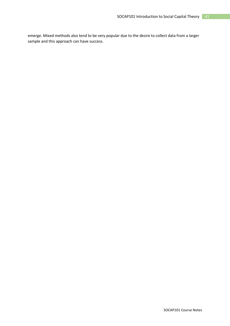emerge. Mixed methods also tend to be very popular due to the desire to collect data from a larger sample and this approach can have success.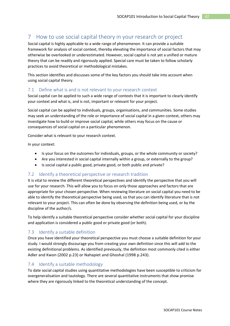# <span id="page-41-0"></span>7 How to use social capital theory in your research or project

Social capital is highly applicable to a wide range of phenomenon. It can provide a suitable framework for analysis of social context, thereby elevating the importance of social factors that may otherwise be overlooked or underestimated. However, social capital is not yet a unified or mature theory that can be readily and rigorously applied. Special care must be taken to follow scholarly practices to avoid theoretical or methodological mistakes.

This section identifies and discusses some of the key factors you should take into account when using social capital theory.

## <span id="page-41-1"></span>7.1 Define what is and is not relevant to your research context

Social capital can be applied to such a wide range of contexts that it is important to clearly identify your context and what is, and is not, important or relevant for your project.

Social capital can be applied to individuals, groups, organisations, and communities. Some studies may seek an understanding of the role or importance of social capital in a given context, others may investigate how to build or improve social capital, while others may focus on the cause or consequences of social capital on a particular phenomenon.

Consider what is relevant to your research context.

In your context:

- Is your focus on the outcomes for individuals, groups, or the whole community or society?
- Are you interested in social capital internally within a group, or externally to the group?
- Is social capital a public good, private good, or both public and private?

## <span id="page-41-2"></span>7.2 Identify a theoretical perspective or research tradition

It is vital to review the different theoretical perspectives and identify the perspective that you will use for your research. This will allow you to focus on only those approaches and factors that are appropriate for your chosen perspective. When reviewing literature on social capital you need to be able to identify the theoretical perspective being used, so that you can identify literature that is not relevant to your project. This can often be done by observing the definition being used, or by the discipline of the author/s.

To help identify a suitable theoretical perspective consider whether social capital for your discipline and application is considered a public good or private good (or both).

## <span id="page-41-3"></span>7.3 Identify a suitable definition

Once you have identified your theoretical perspective you must choose a suitable definition for your study. I would strongly discourage you from creating your own definition since this will add to the existing definitional problems. As identified previously, the definition most commonly cited is either Adler and Kwon (2002 p.23) or Nahapiet and Ghoshal (1998 p.243).

## <span id="page-41-4"></span>7.4 Identify a suitable methodology

To date social capital studies using quantitative methodologies have been susceptible to criticism for overgeneralisation and tautology. There are several quantitative instruments that show promise where they are rigorously linked to the theoretical understanding of the concept.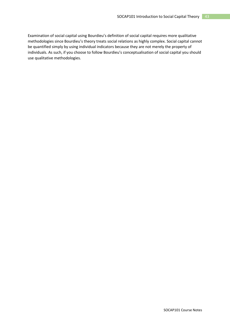Examination of social capital using Bourdieu's definition of social capital requires more qualitative methodologies since Bourdieu's theory treats social relations as highly complex. Social capital cannot be quantified simply by using individual indicators because they are not merely the property of individuals. As such, if you choose to follow Bourdieu's conceptualisation of social capital you should use qualitative methodologies.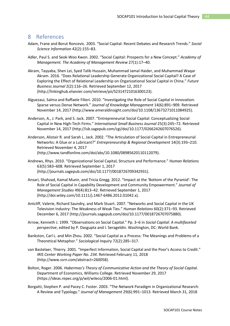## <span id="page-43-0"></span>8 References

- Adam, Frane and Borut Roncevic. 2003. "Social Capital: Recent Debates and Research Trends." *Social Science Information* 42(2):155–83.
- Adler, Paul S. and Seok-Woo Kwon. 2002. "Social Capital: Prospects for a New Concept." *Academy of Management. The Academy of Management Review* 27(1):17–40.
- Akram, Tayyaba, Shen Lei, Syed Talib Hussain, Muhammad Jamal Haider, and Muhammad Waqar Akram. 2016. "Does Relational Leadership Generate Organizational Social Capital? A Case of Exploring the Effect of Relational Leadership on Organizational Social Capital in China." *Future Business Journal* 2(2):116–26. Retrieved September 12, 2017 (http://linkinghub.elsevier.com/retrieve/pii/S2314721016300123).
- Alguezaui, Salma and Raffaele Filieri. 2010. "Investigating the Role of Social Capital in Innovation: Sparse versus Dense Network." *Journal of Knowledge Management* 14(6):891–909. Retrieved November 14, 2017 (http://www.emeraldinsight.com/doi/10.1108/13673271011084925).
- Anderson, A., J. Park, and S. Jack. 2007. "Entrepreneurial Social Capital: Conceptualizing Social Capital in New High-Tech Firms." *International Small Business Journal* 25(3):245–72. Retrieved November 14, 2017 (http://isb.sagepub.com/cgi/doi/10.1177/0266242607076526).
- Anderson, Alistair R. and Sarah L. Jack. 2002. "The Articulation of Social Capital in Entrepreneurial Networks: A Glue or a Lubricant?" *Entrepreneurship & Regional Development* 14(3):193–210. Retrieved November 4, 2017 (http://www.tandfonline.com/doi/abs/10.1080/08985620110112079).
- Andrews, Rhys. 2010. "Organizational Social Capital, Structure and Performance." *Human Relations* 63(5):583–608. Retrieved September 1, 2017 (http://journals.sagepub.com/doi/10.1177/0018726709342931).
- Ansari, Shahzad, Kamal Munir, and Tricia Gregg. 2012. "Impact at the 'Bottom of the Pyramid': The Role of Social Capital in Capability Development and Community Empowerment." *Journal of Management Studies* 49(4):813–42. Retrieved September 1, 2017 (http://doi.wiley.com/10.1111/j.1467-6486.2012.01042.x).
- Antcliff, Valerie, Richard Saundry, and Mark Stuart. 2007. "Networks and Social Capital in the UK Television Industry: The Weakness of Weak Ties." *Human Relations* 60(2):371–93. Retrieved December 6, 2017 (http://journals.sagepub.com/doi/10.1177/0018726707075880).
- Arrow, Kenneth J. 1999. "Observations on Social Capital." Pp. 3–6 in *Social Capital: A multifaceted perspective*, edited by P. Dasgupta and I. Serageldin. Washington, DC: World Bank.
- Bankston, Carl L. and Min Zhou. 2002. "Social Capital as a Process: The Meanings and Problems of a Theoretical Metaphor." *Sociological Inquiry* 72(2):285–317.
- van Bastelaer, Thierry. 2001. "Imperfect Information, Social Capital and the Poor's Access to Credit." *IRIS Center Working Paper No. 234*. Retrieved February 11, 2018 (http://www.ssrn.com/abstract=260058).
- Bolton, Roger. 2006. *Habermas's Theory of Communicative Action and the Theory of Social Capital*. Department of Economics, Williams College. Retrieved November 29, 2017 (https://ideas.repec.org/p/wil/wileco/2006-01.html).
- Borgatti, Stephen P. and Pacey C. Foster. 2003. "The Network Paradigm in Organizational Research: A Review and Typology." *Journal of Management* 29(6):991–1013. Retrieved March 31, 2018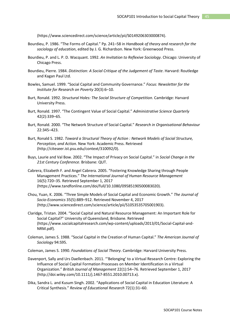(https://www.sciencedirect.com/science/article/pii/S0149206303000874).

- Bourdieu, P. 1986. "The Forms of Capital." Pp. 241–58 in *Handbook of theory and research for the sociology of education*, edited by J. G. Richardson. New York: Greenwood Press.
- Bourdieu, P. and L. P. D. Wacquant. 1992. *An Invitation to Reflexive Sociology*. Chicago: University of Chicago Press.
- Bourdieu, Pierre. 1984. *Distinction: A Social Critique of the Judgement of Taste*. Harvard: Routledge and Kagan Paul Ltd.
- Bowles, Samuel. 1999. "Social Capital and Community Governance." *Focus: Newsletter for the Institute for Research on Poverty* 20(3):6–10.
- Burt, Ronald. 1992. *Structural Holes: The Social Structure of Competition*. Cambridge: Harvard University Press.
- Burt, Ronald. 1997. "The Contingent Value of Social Capital." *Administrative Science Quarterly* 42(2):339–65.
- Burt, Ronald. 2000. "The Network Structure of Social Capital." *Research in Organisational Behaviour* 22:345–423.
- Burt, Ronald S. 1982. *Toward a Structural Theory of Action : Network Models of Social Structure, Perception, and Action.* New York: Academic Press. Retrieved (http://citeseer.ist.psu.edu/context/310092/0).
- Buys, Laurie and Val Bow. 2002. "The Impact of Privacy on Social Capital." in *Social Change in the 21st Century Conference*. Brisbane: QUT.
- Cabrera, Elizabeth F. and Angel Cabrera. 2005. "Fostering Knowledge Sharing through People Management Practices." *The International Journal of Human Resource Management* 16(5):720–35. Retrieved September 1, 2017 (https://www.tandfonline.com/doi/full/10.1080/09585190500083020).
- Chou, Yuan, K. 2006. "Three Simple Models of Social Capital and Economic Growth." *The Journal of Socio-Economics* 35(5):889–912. Retrieved November 4, 2017 (http://www.sciencedirect.com/science/article/pii/S1053535705001903).
- Claridge, Tristan. 2004. "Social Capital and Natural Resource Management: An Important Role for Social Capital?" University of Queensland, Brisbane. Retrieved (https://www.socialcapitalresearch.com/wp-content/uploads/2013/01/Social-Capital-and-NRM.pdf).
- Coleman, James S. 1988. "Social Capital in the Creation of Human Capital." *The American Journal of Sociology* 94:S95.

Coleman, James S. 1990. *Foundations of Social Theory*. Cambridge: Harvard University Press.

- Davenport, Sally and Urs Daellenbach. 2011. "'Belonging' to a Virtual Research Centre: Exploring the Influence of Social Capital Formation Processes on Member Identification in a Virtual Organization." *British Journal of Management* 22(1):54–76. Retrieved September 1, 2017 (http://doi.wiley.com/10.1111/j.1467-8551.2010.00713.x).
- Dika, Sandra L. and Kusum Singh. 2002. "Applications of Social Capital in Education Literature: A Critical Synthesis." *Review of Educational Research* 72(1):31–60.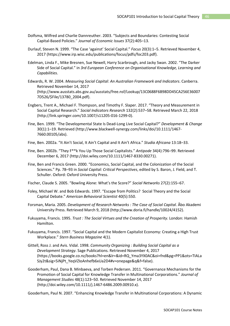- Dolfsma, Wilfred and Charlie Dannreuther. 2003. "Subjects and Boundaries: Contesting Social Capital-Based Policies." *Journal of Economic Issues* 37(2):405–13.
- Durlauf, Steven N. 1999. "The Case 'against' Social Capital." *Focus* 20(3):1–5. Retrieved November 4, 2017 (https://www.irp.wisc.edu/publications/focus/pdfs/foc203.pdf).
- Edelman, Linda F., Mike Bresnen, Sue Newell, Harry Scarbrough, and Jacky Swan. 2002. "The Darker Side of Social Capital." in *3rd European Conference on Organisational Knowledge, Learning and Capabilities*.
- Edwards, R. W. 2004. *Measuring Social Capital: An Australian Framework and Indicators*. Canberra. Retrieved November 14, 2017 (http://www.ausstats.abs.gov.au/ausstats/free.nsf/Lookup/13C0688F6B98DD45CA256E36007 7D526/\$File/13780\_2004.pdf).
- Engbers, Trent A., Michael F. Thompson, and Timothy F. Slaper. 2017. "Theory and Measurement in Social Capital Research." *Social Indicators Research* 132(2):537–58. Retrieved March 22, 2018 (http://link.springer.com/10.1007/s11205-016-1299-0).
- Fine, Ben. 1999. "The Developmental State Is Dead-Long Live Social Capital?" *Development & Change* 30(1):1–19. Retrieved (http://www.blackwell-synergy.com/links/doi/10.1111/1467- 7660.00105/abs).
- Fine, Ben. 2002a. "It Ain't Social, It Ain't Capital and It Ain't Africa." *Studia Africana* 13:18–33.
- Fine, Ben. 2002b. "They F\*\*k You Up Those Social Capitalists." *Antipode* 34(4):796–99. Retrieved December 6, 2017 (http://doi.wiley.com/10.1111/1467-8330.00271).
- Fine, Ben and Francis Green. 2000. "Economics, Social Capital, and the Colonization of the Social Sciences." Pp. 78–93 in *Social Capital: Critical Perspectives*, edited by S. Baron, J. Field, and T. Schuller. Oxford: Oxford University Press.
- Fischer, Claude S. 2005. "Bowling Alone: What's the Score?" *Social Networks* 27(2):155–67.
- Foley, Michael W. and Bob Edwards. 1997. "Escape from Politics? Social Theory and the Social Capital Debate." *American Behavioral Scientist* 40(5):550.
- Forsman, Maria. 2005. *Development of Research Networks : The Case of Social Capital*. Åbo Akademi University Press. Retrieved March 9, 2018 (http://www.doria.fi/handle/10024/4152).
- Fukuyama, Francis. 1995. *Trust : The Social Virtues and the Creation of Prosperity*. London: Hamish Hamilton.
- Fukuyama, Francis. 1997. "Social Capital and the Modern Capitalist Economy: Creating a High Trust Workplace." *Stern Business Magazine* 4(1).
- Gittell, Ross J. and Avis. Vidal. 1998. *Community Organizing : Building Social Capital as a Development Strategy*. Sage Publications. Retrieved November 4, 2017 (https://books.google.co.nz/books?hl=en&lr=&id=RQ\_Yma3YX0AC&oi=fnd&pg=PP1&ots=TIALa SJy2t&sig=5iNjPt\_YeqVZIoAnhefb6xUa2D4#v=onepage&q&f=false).
- Gooderham, Paul, Dana B. Minbaeva, and Torben Pedersen. 2011. "Governance Mechanisms for the Promotion of Social Capital for Knowledge Transfer in Multinational Corporations." *Journal of Management Studies* 48(1):123–50. Retrieved November 14, 2017 (http://doi.wiley.com/10.1111/j.1467-6486.2009.00910.x).

Gooderham, Paul N. 2007. "Enhancing Knowledge Transfer in Multinational Corporations: A Dynamic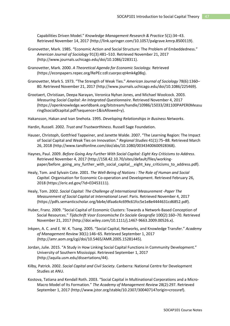Capabilities Driven Model." *Knowledge Management Research & Practice* 5(1):34–43. Retrieved November 14, 2017 (http://link.springer.com/10.1057/palgrave.kmrp.8500119).

- Granovetter, Mark. 1985. "Economic Action and Social Structure: The Problem of Embeddedness." *American Journal of Sociology* 91(3):481–510. Retrieved November 21, 2017 (http://www.journals.uchicago.edu/doi/10.1086/228311).
- Granovetter, Mark. 2000. *A Theoretical Agenda for Economic Sociology*. Retrieved (https://econpapers.repec.org/RePEc:cdl:cuorpo:qt4mk4g08q).
- Granovetter, Mark S. 1973. "The Strength of Weak Ties." *American Journal of Sociology* 78(6):1360– 80. Retrieved November 21, 2017 (http://www.journals.uchicago.edu/doi/10.1086/225469).
- Grootaert, Christiaan, Deepa Narayan, Veronica Nyhan Jones, and Michael Woolcock. 2003. *Measuring Social Capital: An Integrated Questionnaire*. Retrieved November 4, 2017 (https://openknowledge.worldbank.org/bitstream/handle/10986/15033/281100PAPER0Measu ring0social0capital.pdf?sequence=1&isAllowed=y).

Hakansson, Hakan and Ivan Snehota. 1995. *Developing Relationships in Business Networks*.

- Hardin, Russell. 2002. *Trust and Trustworthiness*. Russell Sage Foundation.
- Hauser, Christoph, Gottfried Tappeiner, and Janette Walde. 2007. "The Learning Region: The Impact of Social Capital and Weak Ties on Innovation." *Regional Studies* 41(1):75–88. Retrieved March 26, 2018 (http://www.tandfonline.com/doi/abs/10.1080/00343400600928368).
- Haynes, Paul. 2009. *Before Going Any Further With Social Capital: Eight Key Criticisms to Address*. Retrieved November 4, 2017 (http://158.42.10.70/sites/default/files/workingpaper/before\_going\_any\_further\_with\_social\_capital\_\_eight\_key\_criticisms\_to\_address.pdf).
- Healy, Tom. and Sylvain Cote. 2001. *The Well-Being of Nations : The Role of Human and Social Capital*. Organisation for Economic Co-operation and Development. Retrieved February 26, 2018 (https://eric.ed.gov/?id=ED453111).
- Healy, Tom. 2002. *Social Capital: The Challenge of International Measurement -Paper The Measurement of Social Capital at International Level*. Paris. Retrieved November 4, 2017 (https://pdfs.semanticscholar.org/bb4e/dfaa6c4c699c61fcc5e1e8e4444631cd6852.pdf).
- Huber, Franz. 2009. "Social Capital of Economic Clusters: Towards a Network-Based Conception of Social Resources." *Tijdschrift Voor Economische En Sociale Geografie* 100(2):160–70. Retrieved November 21, 2017 (http://doi.wiley.com/10.1111/j.1467-9663.2009.00526.x).
- Inkpen, A. C. and E. W. K. Tsang. 2005. "Social Capital, Networks, and Knowledge Transfer." *Academy of Management Review* 30(1):146–65. Retrieved September 1, 2017 (http://amr.aom.org/cgi/doi/10.5465/AMR.2005.15281445).
- Jordan, Julie. 2015. "A Study in How Linking Social Capital Functions in Community Development." University of Southern Mississippi. Retrieved September 1, 2017 (http://aquila.usm.edu/dissertations/44).
- Kilby, Patrick. 2002. *Social Capital and Civil Society*. Canberra: National Centre for Development Studies at ANU.
- Kostova, Tatiana and Kendall Roth. 2003. "Social Capital in Multinational Corporations and a Micro-Macro Model of Its Formation." *The Academy of Management Review* 28(2):297. Retrieved September 1, 2017 (http://www.jstor.org/stable/10.2307/30040714?origin=crossref).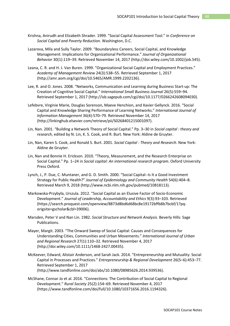- Krishna, Anirudh and Elizabeth Shrader. 1999. "Social Capital Assessment Tool." in *Conference on Social Capital and Poverty Reduction*. Washington, D.C.
- Lazarova, Mila and Sully Taylor. 2009. "Boundaryless Careers, Social Capital, and Knowledge Management: Implications for Organizational Performance." *Journal of Organizational Behavior* 30(1):119–39. Retrieved November 14, 2017 (http://doi.wiley.com/10.1002/job.545).
- Leana, C. R. and H. J. Van Buren. 1999. "Organizational Social Capital and Employment Practices." *Academy of Management Review* 24(3):538–55. Retrieved September 1, 2017 (http://amr.aom.org/cgi/doi/10.5465/AMR.1999.2202136).
- Lee, R. and O. Jones. 2008. "Networks, Communication and Learning during Business Start-up: The Creation of Cognitive Social Capital." *International Small Business Journal* 26(5):559–94. Retrieved September 1, 2017 (http://isb.sagepub.com/cgi/doi/10.1177/0266242608094030).
- Lefebvre, Virginie Marie, Douglas Sorenson, Maeve Henchion, and Xavier Gellynck. 2016. "Social Capital and Knowledge Sharing Performance of Learning Networks." *International Journal of Information Management* 36(4):570–79. Retrieved November 14, 2017 (http://linkinghub.elsevier.com/retrieve/pii/S0268401215001097).
- Lin, Nan. 2001. "Building a Network Theory of Social Capital." Pp. 3–30 in *Social capital : theory and research*, edited by N. Lin, K. S. Cook, and R. Burt. New York: Aldine de Gruyter.
- Lin, Nan, Karen S. Cook, and Ronald S. Burt. 2001. *Social Capital : Theory and Research*. New York: Aldine de Gruyter.
- Lin, Nan and Bonnie H. Erickson. 2010. "Theory, Measurement, and the Research Enterprise on Social Capital." Pp. 1–24 in *Social capital: An international research program*. Oxford University Press Oxford.
- Lynch, J., P. Due, C. Muntaner, and G. D. Smith. 2000. "Social Capital--Is It a Good Investment Strategy for Public Health?" *Journal of Epidemiology and Community Health* 54(6):404–8. Retrieved March 9, 2018 (http://www.ncbi.nlm.nih.gov/pubmed/10818113).
- Markowska-Przybyła, Urszula. 2012. "Social Capital as an Elusive Factor of Socio-Economic Development." *Journal of Leadership, Accountability and Ethics* 9(3):93–103. Retrieved (https://search.proquest.com/openview/8873d8bd6d68bc8e19172bffb8b7bcbf/1?pqorigsite=gscholar&cbl=39006).
- Marsden, Peter V and Nan Lin. 1982. *Social Structure and Network Analysis*. Beverly Hills: Sage Publications.
- Mayer, Margit. 2003. "The Onward Sweep of Social Capital: Causes and Consequences for Understanding Cities, Communities and Urban Movements." *International Journal of Urban and Regional Research* 27(1):110–32. Retrieved November 4, 2017 (http://doi.wiley.com/10.1111/1468-2427.00435).
- McKeever, Edward, Alistair Anderson, and Sarah Jack. 2014. "Entrepreneurship and Mutuality: Social Capital in Processes and Practices." *Entrepreneurship & Regional Development* 26(5–6):453–77. Retrieved September 1, 2017 (http://www.tandfonline.com/doi/abs/10.1080/08985626.2014.939536).
- McShane, Connar Jo et al. 2016. "Connections: The Contribution of Social Capital to Regional Development." *Rural Society* 25(2):154–69. Retrieved November 4, 2017 (https://www.tandfonline.com/doi/full/10.1080/10371656.2016.1194326).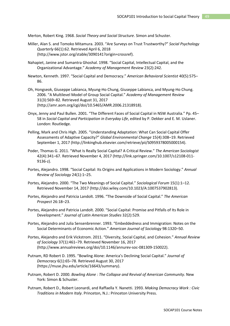Merton, Robert King. 1968. *Social Theory and Social Structure*. Simon and Schuster.

- Miller, Alan S. and Tomoko Mitamura. 2003. "Are Surveys on Trust Trustworthy?" *Social Psychology Quarterly* 66(1):62. Retrieved April 6, 2018 (http://www.jstor.org/stable/3090141?origin=crossref).
- Nahapiet, Janine and Sumantra Ghoshal. 1998. "Social Capital, Intellectual Capital, and the Organizational Advantage." *Academy of Management Review* 23(2):242.
- Newton, Kenneth. 1997. "Social Capital and Democracy." *American Behavioral Scientist* 40(5):575– 86.
- Oh, Hongseok, Giuseppe Labianca, Myung-Ho Chung, Giuseppe Labianca, and Myung-Ho Chung. 2006. "A Multilevel Model of Group Social Capital." *Academy of Management Review* 31(3):569–82. Retrieved August 31, 2017 (http://amr.aom.org/cgi/doi/10.5465/AMR.2006.21318918).
- Onyx, Jenny and Paul Bullen. 2001. "The Different Faces of Social Capital in NSW Australia." Pp. 45– 58 in *Social Capital and Participation in Everyday Life*, edited by P. Dekker and E. M. Uslaner. London: Routledge.
- Pelling, Mark and Chris High. 2005. "Understanding Adaptation: What Can Social Capital Offer Assessments of Adaptive Capacity?" *Global Environmental Change* 15(4):308–19. Retrieved September 1, 2017 (http://linkinghub.elsevier.com/retrieve/pii/S0959378005000154).
- Poder, Thomas G. 2011. "What Is Really Social Capital? A Critical Review." *The American Sociologist* 42(4):341–67. Retrieved November 4, 2017 (http://link.springer.com/10.1007/s12108-011- 9136-z).
- Portes, Alejandro. 1998. "Social Capital: Its Origins and Applications in Modern Sociology." *Annual Review of Sociology* 24(1):1–25.
- Portes, Alejandro. 2000. "The Two Meanings of Social Capital." *Sociological Forum* 15(1):1–12. Retrieved November 14, 2017 (http://doi.wiley.com/10.1023/A:1007537902813).
- Portes, Alejandro and Patricia Landolt. 1996. "The Downside of Social Capital." *The American Prospect* 26:18–23.
- Portes, Alejandro and Patricia Landolt. 2000. "Social Capital: Promise and Pitfalls of Its Role in Development." *Journal of Latin American Studies* 32(2):529.
- Portes, Alejandro and Julia Sensenbrenner. 1993. "Embeddedness and Immigration: Notes on the Social Determinants of Economic Action." *American Journal of Sociology* 98:1320–50.
- Portes, Alejandro and Erik Vickstrom. 2011. "Diversity, Social Capital, and Cohesion." *Annual Review of Sociology* 37(1):461–79. Retrieved November 16, 2017 (http://www.annualreviews.org/doi/10.1146/annurev-soc-081309-150022).
- Putnam, RD Robert D. 1995. "Bowling Alone: America's Declining Social Capital." *Journal of Democracy* 6(1):65–78. Retrieved August 30, 2017 (https://muse.jhu.edu/article/16643/summary).
- Putnam, Robert D. 2000. *Bowling Alone : The Collapse and Revival of American Community*. New York: Simon & Schuster.
- Putnam, Robert D., Robert Leonardi, and Raffaella Y. Nanetti. 1993. *Making Democracy Work : Civic Traditions in Modern Italy*. Princeton, N.J.: Princeton University Press.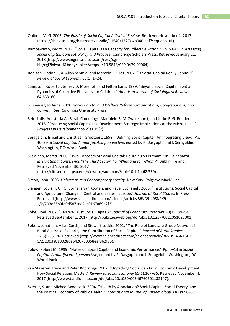- Quibria, M. G. 2003. *The Puzzle of Social Capital A Critical Review*. Retrieved November 4, 2017 (https://think-asia.org/bitstream/handle/11540/1527/wp040.pdf?sequence=1).
- Ramos-Pinto, Pedro. 2012. "Social Capital as a Capacity for Collective Action." Pp. 53–69 in *Assessing Social Capital: Concept, Policy and Practice*. Cambridge Scholars Press. Retrieved January 11, 2018 (http://www.ingentaselect.com/rpsv/cgibin/cgi?ini=xref&body=linker&reqdoi=10.5848/CSP.0479.00004).
- Robison, Lindon J., A. Allan Schmid, and Marcelo E. Siles. 2002. "Is Social Capital Really Capital?" *Review of Social Economy* 60(1):1–24.
- Sampson, Robert J., Jeffrey D. Morenoff, and Felton Earls. 1999. "Beyond Social Capital: Spatial Dynamics of Collective Efficiancy for Children." *American Journal of Sociological Review* 64:633–60.
- Schneider, Jo Anne. 2006. *Social Capital and Welfare Reform: Organizations, Congregations, and Communities*. Columbia University Press.
- Seferiadis, Anastasia A., Sarah Cummings, Marjolein B. M. Zweekhorst, and Joske F. G. Bunders. 2015. "Producing Social Capital as a Development Strategy: Implications at the Micro-Level." *Progress in Development Studies* 15(2).
- Serageldin, Ismail and Christiaan Grootaert. 1999. "Defining Social Capital: An Integrating View." Pp. 40–59 in *Social Capital: A multifaceted perspective*, edited by P. Dasgupta and I. Serageldin. Washington, DC: World Bank.
- Siisiäinen, Martti. 2000. "Two Concepts of Social Capital: Bourdieu Vs Putnam." in *ISTR Fourth International Conference "The Third Sector: For What and for Whom?"* Dublin, Ireland. Retrieved November 30, 2017 (http://citeseerx.ist.psu.edu/viewdoc/summary?doi=10.1.1.462.330).
- Sitton, John. 2003. *Habermas and Contemporary Soceity*. New York: Palgrave MacMillan.
- Slangen, Louis H. G., G. Cornelis van Kooten, and Pavel Suchanek. 2003. "Institutions, Social Capital and Agricultural Change in Central and Eastern Europe." *Journal of Rural Studies* In Press,. Retrieved (http://www.sciencedirect.com/science/article/B6VD9-49SN9K9- 1/2/203e55b9fd0d587ced2ac0167a69d2f2).
- Sobel, Joel. 2002. "Can We Trust Social Capital?" *Journal of Economic Literature* 40(1):139–54. Retrieved September 1, 2017 (http://pubs.aeaweb.org/doi/abs/10.1257/0022051027001).
- Sobels, Jonathan, Allan Curtis, and Stewart Lockie. 2001. "The Role of Landcare Group Networks in Rural Australia: Exploring the Contribution of Social Capital." *Journal of Rural Studies* 17(3):265–76. Retrieved (http://www.sciencedirect.com/science/article/B6VD9-43NT3CT-1/2/2003a818028deb420780358eaf9b2f65).
- Solow, Robert M. 1999. "Notes on Social Capital and Economic Performance." Pp. 6–13 in *Social Capital: A multifaceted perspective*, edited by P. Dasgupta and I. Serageldin. Washington, DC: World Bank.
- van Staveren, Irene and Peter Knorringa. 2007. "Unpacking Social Capital in Economic Development: How Social Relations Matter." *Review of Social Economy* 65(1):107–35. Retrieved November 4, 2017 (http://www.tandfonline.com/doi/abs/10.1080/00346760601132147).
- Szreter, S. and Michael Woolcock. 2004. "Health by Association? Social Capital, Social Theory, and the Political Economy of Public Health." *International Journal of Epidemiology* 33(4):650–67.